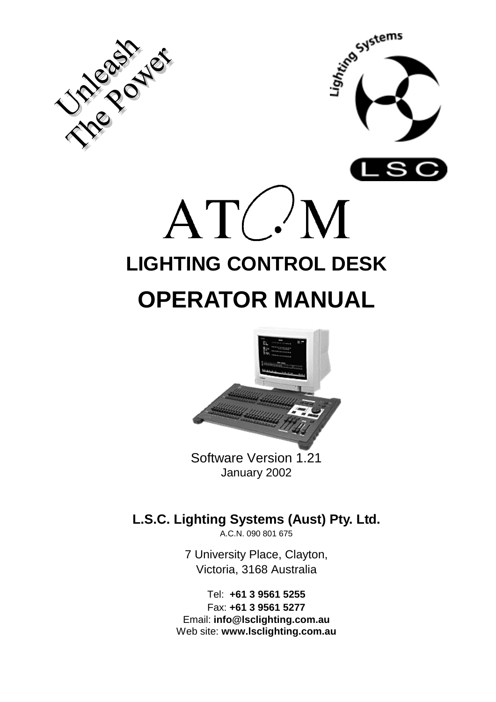



# $ATC'M$ **LIGHTING CONTROL DESK OPERATOR MANUAL**



January 2002

### **L.S.C. Lighting Systems (Aust) Pty. Ltd.**

A.C.N. 090 801 675

7 University Place, Clayton, Victoria, 3168 Australia

Tel: **+61 3 9561 5255** Fax: **+61 3 9561 5277** Email: **info@lsclighting.com.au** Web site: **www.lsclighting.com.au**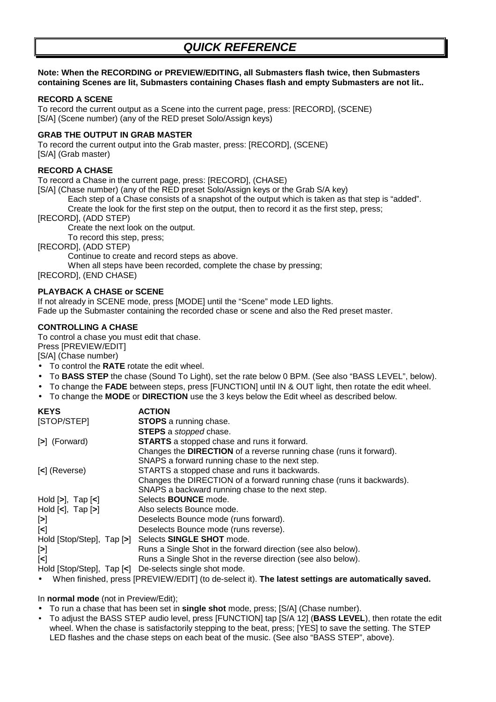#### **Note: When the RECORDING or PREVIEW/EDITING, all Submasters flash twice, then Submasters containing Scenes are lit, Submasters containing Chases flash and empty Submasters are not lit..**

#### **RECORD A SCENE**

To record the current output as a Scene into the current page, press: [RECORD], (SCENE) [S/A] (Scene number) (any of the RED preset Solo/Assign keys)

#### **GRAB THE OUTPUT IN GRAB MASTER**

To record the current output into the Grab master, press: [RECORD], (SCENE) [S/A] (Grab master)

#### **RECORD A CHASE**

To record a Chase in the current page, press: [RECORD], (CHASE)

[S/A] (Chase number) (any of the RED preset Solo/Assign keys or the Grab S/A key)

Each step of a Chase consists of a snapshot of the output which is taken as that step is "added".

Create the look for the first step on the output, then to record it as the first step, press;

[RECORD], (ADD STEP)

Create the next look on the output.

To record this step, press;

[RECORD], (ADD STEP)

Continue to create and record steps as above.

When all steps have been recorded, complete the chase by pressing;

[RECORD], (END CHASE)

#### **PLAYBACK A CHASE or SCENE**

If not already in SCENE mode, press [MODE] until the "Scene" mode LED lights. Fade up the Submaster containing the recorded chase or scene and also the Red preset master.

#### **CONTROLLING A CHASE**

To control a chase you must edit that chase.

Press [PREVIEW/EDIT]

[S/A] (Chase number)

- To control the **RATE** rotate the edit wheel.
- To **BASS STEP** the chase (Sound To Light), set the rate below 0 BPM. (See also "BASS LEVEL", below).
- To change the **FADE** between steps, press [FUNCTION] until IN & OUT light, then rotate the edit wheel.
- To change the **MODE** or **DIRECTION** use the 3 keys below the Edit wheel as described below.

| <b>KEYS</b>                                                | <b>ACTION</b>                                                         |
|------------------------------------------------------------|-----------------------------------------------------------------------|
| [STOP/STEP]                                                | <b>STOPS</b> a running chase.                                         |
|                                                            | <b>STEPS</b> a <i>stopped</i> chase.                                  |
| [>] (Forward)                                              | <b>STARTS</b> a stopped chase and runs it forward.                    |
|                                                            | Changes the DIRECTION of a reverse running chase (runs it forward).   |
|                                                            | SNAPS a forward running chase to the next step.                       |
| [<] (Reverse)                                              | STARTS a stopped chase and runs it backwards.                         |
|                                                            | Changes the DIRECTION of a forward running chase (runs it backwards). |
|                                                            | SNAPS a backward running chase to the next step.                      |
| Hold $[\geq], \text{ Tap } [\leq]$                         | Selects <b>BOUNCE</b> mode.                                           |
| Hold $\left[\text{<}\right]$ , Tap $\left[\text{>}\right]$ | Also selects Bounce mode.                                             |
| $\mathbf{[>]}$                                             | Deselects Bounce mode (runs forward).                                 |
| [<]                                                        | Deselects Bounce mode (runs reverse).                                 |
|                                                            | Hold [Stop/Step], Tap [>] Selects SINGLE SHOT mode.                   |
| [>]                                                        | Runs a Single Shot in the forward direction (see also below).         |
| [<]                                                        | Runs a Single Shot in the reverse direction (see also below).         |
|                                                            | Hold [Stop/Step], Tap [<] De-selects single shot mode.                |

• When finished, press [PREVIEW/EDIT] (to de-select it). **The latest settings are automatically saved.**

In **normal mode** (not in Preview/Edit);

• To run a chase that has been set in **single shot** mode, press; [S/A] (Chase number).

• To adjust the BASS STEP audio level, press [FUNCTION] tap [S/A 12] (**BASS LEVEL**), then rotate the edit wheel. When the chase is satisfactorily stepping to the beat, press; [YES] to save the setting. The STEP LED flashes and the chase steps on each beat of the music. (See also "BASS STEP", above).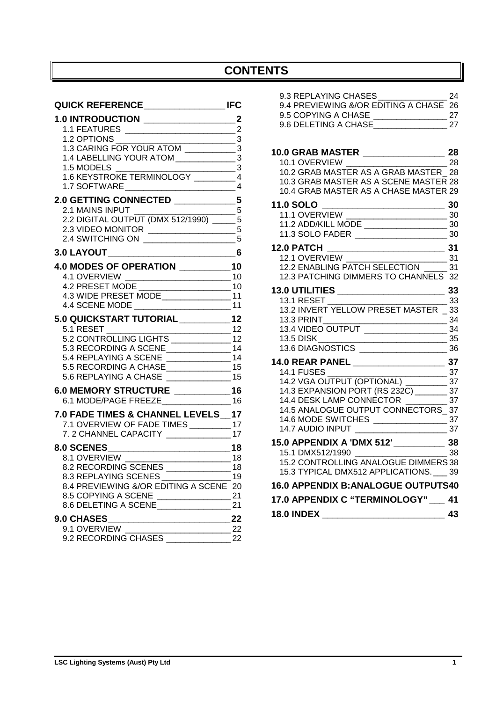### **CONTENTS**

| $\overline{\phantom{a}}$ 3<br>1.2 OPTIONS                                                                                                             |          |
|-------------------------------------------------------------------------------------------------------------------------------------------------------|----------|
|                                                                                                                                                       |          |
| 1.4 LABELLING YOUR ATOM _______________________3                                                                                                      |          |
| $\frac{1}{\sqrt{3}}$<br>1.6 KEYSTROKE TERMINOLOGY ___________ 4                                                                                       |          |
|                                                                                                                                                       |          |
| 2.0 GETTING CONNECTED ______________5                                                                                                                 |          |
|                                                                                                                                                       |          |
| 2.2 DIGITAL OUTPUT (DMX 512/1990) _____ 5                                                                                                             |          |
|                                                                                                                                                       |          |
|                                                                                                                                                       |          |
|                                                                                                                                                       |          |
| 4.0 MODES OF OPERATION ___________10                                                                                                                  |          |
|                                                                                                                                                       |          |
| 4.3 WIDE PRESET MODE                                                                                                                                  |          |
|                                                                                                                                                       |          |
|                                                                                                                                                       |          |
| 5.0 QUICKSTART TUTORIAL _________12<br>5.1 RESET And the state of the state of the state of the state of the state of the state of the state of the s |          |
| $\overline{\phantom{a}}$ 12<br>5.2 CONTROLLING LIGHTS ______________12                                                                                |          |
| 5.3 RECORDING A SCENE _________________14                                                                                                             |          |
|                                                                                                                                                       |          |
| 5.5 RECORDING A CHASE __________________ 15                                                                                                           |          |
| 5.6 REPLAYING A CHASE _________________15                                                                                                             |          |
| 6.0 MEMORY STRUCTURE ___________16                                                                                                                    |          |
| 6.1 MODE/PAGE FREEZE___________________16                                                                                                             |          |
| 7.0 FADE TIMES & CHANNEL LEVELS_17                                                                                                                    |          |
| 7.1 OVERVIEW OF FADE TIMES __________ 17                                                                                                              |          |
| 7. 2 CHANNEL CAPACITY __________________17                                                                                                            |          |
|                                                                                                                                                       |          |
| 8.1 OVERVIEW<br>$\overline{\phantom{a}}$ 18                                                                                                           |          |
| 8.2 RECORDING SCENES ______________                                                                                                                   | 18       |
| 8.3 REPLAYING SCENES<br>8.4 PREVIEWING &/OR EDITING A SCENE                                                                                           | 19<br>20 |
| 8.5 COPYING A SCENE ________________                                                                                                                  | 21       |
| 8.6 DELETING A SCENE ______________                                                                                                                   | 21       |
| 9.0 CHASES                                                                                                                                            | 22       |
| 9.1 OVERVIEW<br><u> 1980 - Johann Barbara, martin a</u>                                                                                               | $-22$    |
| 9.2 RECORDING CHASES                                                                                                                                  | 22       |

| 9.3 REPLAYING CHASES 24                                                                      |  |
|----------------------------------------------------------------------------------------------|--|
| 9.4 PREVIEWING &/OR EDITING A CHASE 26                                                       |  |
|                                                                                              |  |
|                                                                                              |  |
|                                                                                              |  |
|                                                                                              |  |
| 10.0 GRAB MASTER _______________________28<br>10.1 OVERVIEW ___________________________28    |  |
| 10.2 GRAB MASTER AS A GRAB MASTER_28                                                         |  |
| 10.3 GRAB MASTER AS A SCENE MASTER 28                                                        |  |
| 10.4 GRAB MASTER AS A CHASE MASTER 29                                                        |  |
|                                                                                              |  |
|                                                                                              |  |
|                                                                                              |  |
|                                                                                              |  |
|                                                                                              |  |
|                                                                                              |  |
|                                                                                              |  |
| 12.3 PATCHING DIMMERS TO CHANNELS 32                                                         |  |
|                                                                                              |  |
|                                                                                              |  |
| 13.2 INVERT YELLOW PRESET MASTER _ 33                                                        |  |
| 13.3 PRINT_______<br>$\sim$ 34                                                               |  |
| 13.4 VIDEO OUTPUT                                                                            |  |
|                                                                                              |  |
|                                                                                              |  |
|                                                                                              |  |
|                                                                                              |  |
|                                                                                              |  |
| 14.4 DESK LAMP CONNECTOR <u>(Conservent</u> 37<br>14.5 ANALOGUE OUTPUT CONNECTORS 37         |  |
|                                                                                              |  |
|                                                                                              |  |
| 14.7 AUDIO INPUT                                                                             |  |
| 15.0 APPENDIX A 'DMX 512' _____________ 38<br>15.1 DMX512/1990 __________________________ 38 |  |
|                                                                                              |  |
| 15.2 CONTROLLING ANALOGUE DIMMERS 38                                                         |  |
| 15.3 TYPICAL DMX512 APPLICATIONS. __ 39                                                      |  |
| 16.0 APPENDIX B: ANALOGUE OUTPUTS40                                                          |  |
| 17.0 APPENDIX C "TERMINOLOGY" __ 41                                                          |  |

| <b>18.0 INDEX</b> |  |
|-------------------|--|
|                   |  |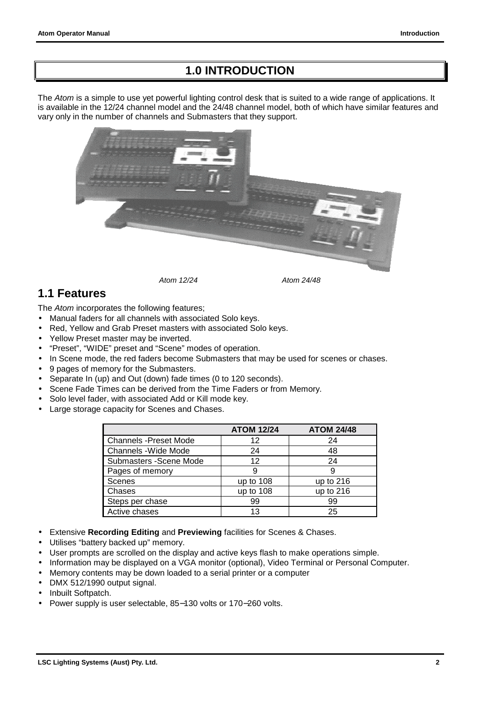### **1.0 INTRODUCTION**

<span id="page-3-0"></span>The *Atom* is a simple to use yet powerful lighting control desk that is suited to a wide range of applications. It is available in the 12/24 channel model and the 24/48 channel model, both of which have similar features and vary only in the number of channels and Submasters that they support.



### **1.1 Features**

The *Atom* incorporates the following features;

- Manual faders for all channels with associated Solo keys.
- Red, Yellow and Grab Preset masters with associated Solo keys.
- Yellow Preset master may be inverted.
- "Preset", "WIDE" preset and "Scene" modes of operation.
- In Scene mode, the red faders become Submasters that may be used for scenes or chases.
- 9 pages of memory for the Submasters.
- Separate In (up) and Out (down) fade times (0 to 120 seconds).
- Scene Fade Times can be derived from the Time Faders or from Memory.
- Solo level fader, with associated Add or Kill mode key.
- Large storage capacity for Scenes and Chases.

|                              | <b>ATOM 12/24</b> | <b>ATOM 24/48</b> |
|------------------------------|-------------------|-------------------|
| <b>Channels -Preset Mode</b> | 12                | 24                |
| Channels - Wide Mode         | 24                | 48                |
| Submasters - Scene Mode      | 12                | 24                |
| Pages of memory              | 9                 | 9                 |
| <b>Scenes</b>                | up to 108         | up to 216         |
| Chases                       | up to 108         | up to 216         |
| Steps per chase              | 99                | 99                |
| Active chases                | 13                | 25                |

- Extensive **Recording Editing** and **Previewing** facilities for Scenes & Chases.
- Utilises "battery backed up" memory.
- User prompts are scrolled on the display and active keys flash to make operations simple.
- Information may be displayed on a VGA monitor (optional), Video Terminal or Personal Computer.
- Memory contents may be down loaded to a serial printer or a computer
- DMX 512/1990 output signal.
- Inbuilt Softpatch.
- Power supply is user selectable, 85−130 volts or 170−260 volts.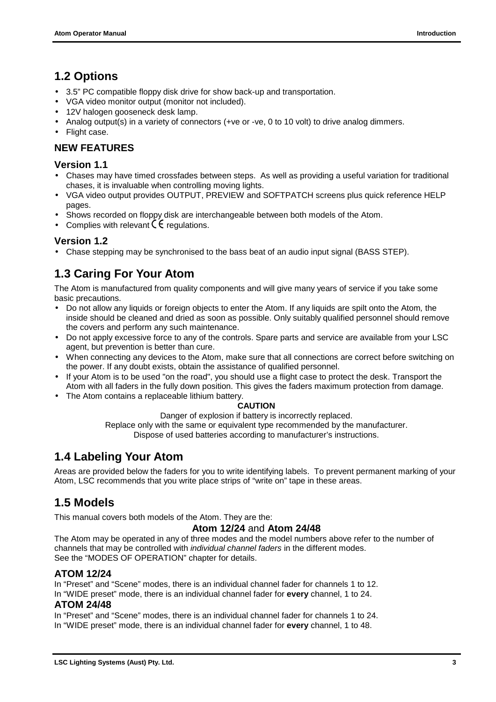### <span id="page-4-0"></span>**1.2 Options**

- 3.5" PC compatible floppy disk drive for show back-up and transportation.
- VGA video monitor output (monitor not included).
- 12V halogen gooseneck desk lamp.
- Analog output(s) in a variety of connectors (+ve or -ve, 0 to 10 volt) to drive analog dimmers.
- Flight case.

#### **NEW FEATURES**

#### **Version 1.1**

- Chases may have timed crossfades between steps. As well as providing a useful variation for traditional chases, it is invaluable when controlling moving lights.
- VGA video output provides OUTPUT, PREVIEW and SOFTPATCH screens plus quick reference HELP pages.
- Shows recorded on floppy disk are interchangeable between both models of the Atom.
- Complies with relevant  $\zeta \epsilon$  regulations.

#### **Version 1.2**

• Chase stepping may be synchronised to the bass beat of an audio input signal (BASS STEP).

### **1.3 Caring For Your Atom**

The Atom is manufactured from quality components and will give many years of service if you take some basic precautions.

- Do not allow any liquids or foreign objects to enter the Atom. If any liquids are spilt onto the Atom*,* the inside should be cleaned and dried as soon as possible. Only suitably qualified personnel should remove the covers and perform any such maintenance.
- Do not apply excessive force to any of the controls. Spare parts and service are available from your LSC agent, but prevention is better than cure.
- When connecting any devices to the Atom, make sure that all connections are correct before switching on the power. If any doubt exists, obtain the assistance of qualified personnel.
- If your Atom is to be used "on the road", you should use a flight case to protect the desk. Transport the Atom with all faders in the fully down position. This gives the faders maximum protection from damage.
- The Atom contains a replaceable lithium battery.

#### **CAUTION**

Danger of explosion if battery is incorrectly replaced. Replace only with the same or equivalent type recommended by the manufacturer. Dispose of used batteries according to manufacturer's instructions.

### **1.4 Labeling Your Atom**

Areas are provided below the faders for you to write identifying labels. To prevent permanent marking of your Atom, LSC recommends that you write place strips of "write on" tape in these areas.

### **1.5 Models**

This manual covers both models of the Atom. They are the:

#### **Atom 12/24** and **Atom 24/48**

The Atom may be operated in any of three modes and the model numbers above refer to the number of channels that may be controlled with *individual channel faders* in the different modes. See the "MODES OF OPERATION" chapter for details.

#### **ATOM 12/24**

In "Preset" and "Scene" modes, there is an individual channel fader for channels 1 to 12.

In "WIDE preset" mode, there is an individual channel fader for **every** channel, 1 to 24.

#### **ATOM 24/48**

In "Preset" and "Scene" modes, there is an individual channel fader for channels 1 to 24. In "WIDE preset" mode, there is an individual channel fader for **every** channel, 1 to 48.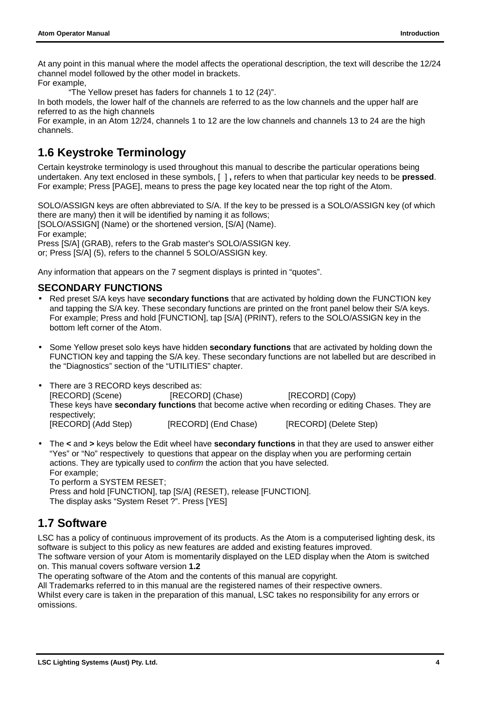<span id="page-5-0"></span>At any point in this manual where the model affects the operational description, the text will describe the 12/24 channel model followed by the other model in brackets.

For example,

"The Yellow preset has faders for channels 1 to 12 (24)".

In both models, the lower half of the channels are referred to as the low channels and the upper half are referred to as the high channels

For example, in an Atom 12/24, channels 1 to 12 are the low channels and channels 13 to 24 are the high channels.

### **1.6 Keystroke Terminology**

Certain keystroke terminology is used throughout this manual to describe the particular operations being undertaken. Any text enclosed in these symbols, [ ] **,** refers to when that particular key needs to be **pressed**. For example; Press [PAGE], means to press the page key located near the top right of the Atom.

SOLO/ASSIGN keys are often abbreviated to S/A. If the key to be pressed is a SOLO/ASSIGN key (of which there are many) then it will be identified by naming it as follows; [SOLO/ASSIGN] (Name) or the shortened version, [S/A] (Name). For example;

Press [S/A] (GRAB), refers to the Grab master's SOLO/ASSIGN key. or; Press [S/A] (5), refers to the channel 5 SOLO/ASSIGN key.

Any information that appears on the 7 segment displays is printed in "quotes".

#### **SECONDARY FUNCTIONS**

- Red preset S/A keys have **secondary functions** that are activated by holding down the FUNCTION key and tapping the S/A key. These secondary functions are printed on the front panel below their S/A keys. For example; Press and hold [FUNCTION], tap [S/A] (PRINT), refers to the SOLO/ASSIGN key in the bottom left corner of the Atom.
- Some Yellow preset solo keys have hidden **secondary functions** that are activated by holding down the FUNCTION key and tapping the S/A key. These secondary functions are not labelled but are described in the "Diagnostics" section of the "UTILITIES" chapter.
- There are 3 RECORD keys described as: [RECORD] (Scene) [RECORD] (Chase) [RECORD] (Copy) These keys have **secondary functions** that become active when recording or editing Chases. They are respectively; [RECORD] (Add Step) [RECORD] (End Chase) [RECORD] (Delete Step)
- The **<** and **>** keys below the Edit wheel have **secondary functions** in that they are used to answer either "Yes" or "No" respectively to questions that appear on the display when you are performing certain actions. They are typically used to *confirm* the action that you have selected. For example;

To perform a SYSTEM RESET;

Press and hold [FUNCTION], tap [S/A] (RESET), release [FUNCTION].

The display asks "System Reset ?". Press [YES]

### **1.7 Software**

LSC has a policy of continuous improvement of its products. As the Atom is a computerised lighting desk, its software is subject to this policy as new features are added and existing features improved.

The software version of your Atom is momentarily displayed on the LED display when the Atom is switched on. This manual covers software version **1.2**

The operating software of the Atom and the contents of this manual are copyright.

All Trademarks referred to in this manual are the registered names of their respective owners.

Whilst every care is taken in the preparation of this manual, LSC takes no responsibility for any errors or omissions.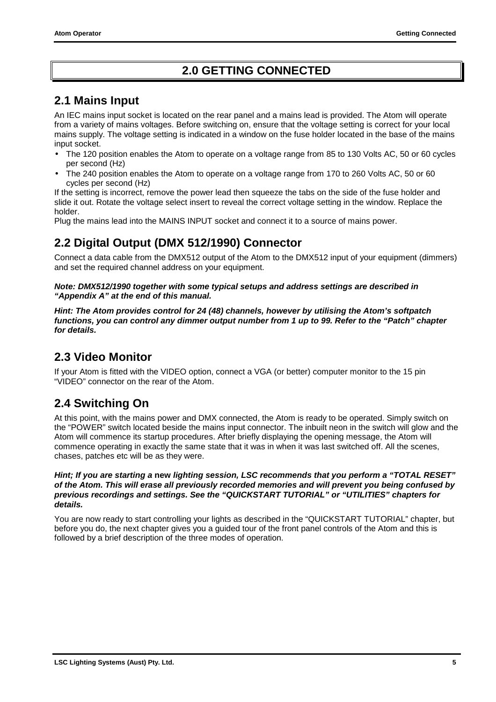### **2.0 GETTING CONNECTED**

### <span id="page-6-0"></span>**2.1 Mains Input**

An IEC mains input socket is located on the rear panel and a mains lead is provided. The Atom will operate from a variety of mains voltages. Before switching on, ensure that the voltage setting is correct for your local mains supply. The voltage setting is indicated in a window on the fuse holder located in the base of the mains input socket.

- The 120 position enables the Atom to operate on a voltage range from 85 to 130 Volts AC, 50 or 60 cycles per second (Hz)
- The 240 position enables the Atom to operate on a voltage range from 170 to 260 Volts AC, 50 or 60 cycles per second (Hz)

If the setting is incorrect, remove the power lead then squeeze the tabs on the side of the fuse holder and slide it out. Rotate the voltage select insert to reveal the correct voltage setting in the window. Replace the holder.

Plug the mains lead into the MAINS INPUT socket and connect it to a source of mains power.

### **2.2 Digital Output (DMX 512/1990) Connector**

Connect a data cable from the DMX512 output of the Atom to the DMX512 input of your equipment (dimmers) and set the required channel address on your equipment.

#### *Note: DMX512/1990 together with some typical setups and address settings are described in "Appendix A" at the end of this manual.*

*Hint: The Atom provides control for 24 (48) channels, however by utilising the Atom's softpatch functions, you can control any dimmer output number from 1 up to 99. Refer to the "Patch" chapter for details.*

### **2.3 Video Monitor**

If your Atom is fitted with the VIDEO option, connect a VGA (or better) computer monitor to the 15 pin "VIDEO" connector on the rear of the Atom.

### **2.4 Switching On**

At this point, with the mains power and DMX connected, the Atom is ready to be operated. Simply switch on the "POWER" switch located beside the mains input connector. The inbuilt neon in the switch will glow and the Atom will commence its startup procedures. After briefly displaying the opening message, the Atom will commence operating in exactly the same state that it was in when it was last switched off. All the scenes, chases, patches etc will be as they were.

#### *Hint; If you are starting a* **new** *lighting session, LSC recommends that you perform a "TOTAL RESET" of the Atom. This will erase all previously recorded memories and will prevent you being confused by previous recordings and settings. See the "QUICKSTART TUTORIAL" or "UTILITIES" chapters for details.*

You are now ready to start controlling your lights as described in the "QUICKSTART TUTORIAL" chapter, but before you do, the next chapter gives you a guided tour of the front panel controls of the Atom and this is followed by a brief description of the three modes of operation.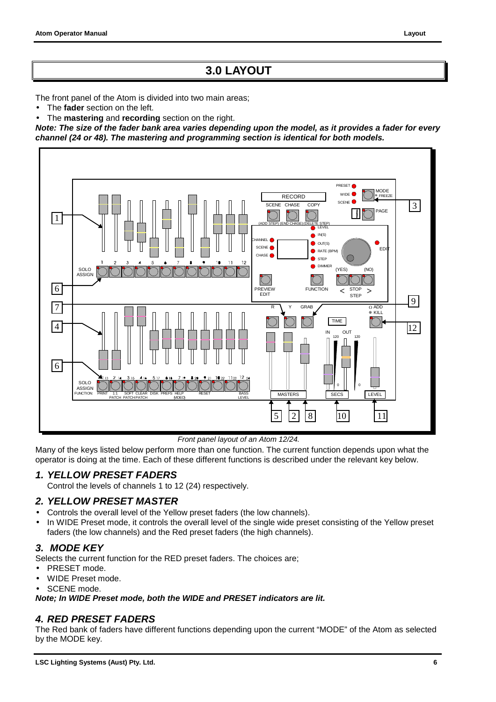### **3.0 LAYOUT**

<span id="page-7-0"></span>The front panel of the Atom is divided into two main areas;

- The **fader** section on the left.
- The **mastering** and **recording** section on the right.

*Note: The size of the fader bank area varies depending upon the model, as it provides a fader for every channel (24 or 48). The mastering and programming section is identical for both models.*



*Front panel layout of an Atom 12/24.*

Many of the keys listed below perform more than one function. The current function depends upon what the operator is doing at the time. Each of these different functions is described under the relevant key below.

#### *1. YELLOW PRESET FADERS*

Control the levels of channels 1 to 12 (24) respectively.

#### *2. YELLOW PRESET MASTER*

- Controls the overall level of the Yellow preset faders (the low channels).
- In WIDE Preset mode, it controls the overall level of the single wide preset consisting of the Yellow preset faders (the low channels) and the Red preset faders (the high channels).

#### *3. MODE KEY*

Selects the current function for the RED preset faders. The choices are;

- PRESET mode.
- WIDE Preset mode.
- SCENE mode.

*Note; In WIDE Preset mode, both the WIDE and PRESET indicators are lit.*

#### *4. RED PRESET FADERS*

The Red bank of faders have different functions depending upon the current "MODE" of the Atom as selected by the MODE key.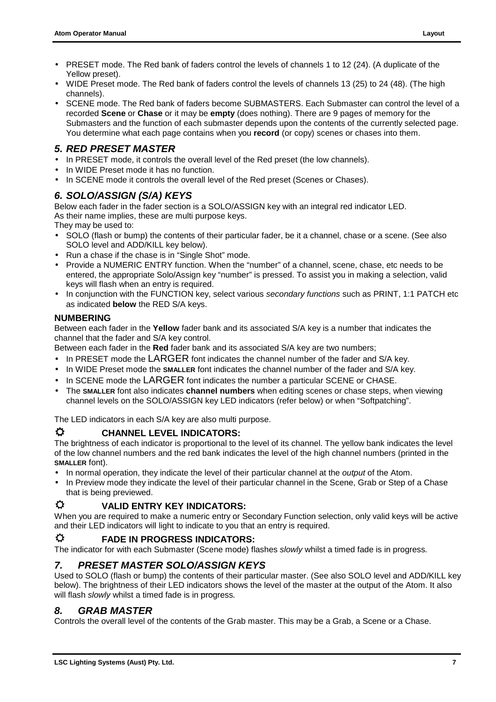- PRESET mode. The Red bank of faders control the levels of channels 1 to 12 (24). (A duplicate of the Yellow preset).
- WIDE Preset mode. The Red bank of faders control the levels of channels 13 (25) to 24 (48). (The high channels).
- SCENE mode. The Red bank of faders become SUBMASTERS. Each Submaster can control the level of a recorded **Scene** or **Chase** or it may be **empty** (does nothing). There are 9 pages of memory for the Submasters and the function of each submaster depends upon the contents of the currently selected page. You determine what each page contains when you **record** (or copy) scenes or chases into them.

#### *5. RED PRESET MASTER*

- In PRESET mode, it controls the overall level of the Red preset (the low channels).
- In WIDE Preset mode it has no function.
- In SCENE mode it controls the overall level of the Red preset (Scenes or Chases).

#### *6. SOLO/ASSIGN (S/A) KEYS*

Below each fader in the fader section is a SOLO/ASSIGN key with an integral red indicator LED. As their name implies, these are multi purpose keys.

They may be used to:

- SOLO (flash or bump) the contents of their particular fader, be it a channel, chase or a scene. (See also SOLO level and ADD/KILL key below).
- Run a chase if the chase is in "Single Shot" mode.
- Provide a NUMERIC ENTRY function. When the "number" of a channel, scene, chase, etc needs to be entered, the appropriate Solo/Assign key "number" is pressed. To assist you in making a selection, valid keys will flash when an entry is required.
- In conjunction with the FUNCTION key, select various *secondary functions* such as PRINT, 1:1 PATCH etc as indicated **below** the RED S/A keys.

#### **NUMBERING**

Between each fader in the **Yellow** fader bank and its associated S/A key is a number that indicates the channel that the fader and S/A key control.

Between each fader in the **Red** fader bank and its associated S/A key are two numbers;

- In PRESET mode the LARGER font indicates the channel number of the fader and S/A key.
- In WIDE Preset mode the **SMALLER** font indicates the channel number of the fader and S/A key.
- In SCENE mode the LARGER font indicates the number a particular SCENE or CHASE.
- The **SMALLER** font also indicates **channel numbers** when editing scenes or chase steps, when viewing channel levels on the SOLO/ASSIGN key LED indicators (refer below) or when "Softpatching".

The LED indicators in each S/A key are also multi purpose.

#### **CHANNEL LEVEL INDICATORS:**

The brightness of each indicator is proportional to the level of its channel. The yellow bank indicates the level of the low channel numbers and the red bank indicates the level of the high channel numbers (printed in the **SMALLER** font).

- In normal operation, they indicate the level of their particular channel at the *output* of the Atom.
- In Preview mode they indicate the level of their particular channel in the Scene, Grab or Step of a Chase that is being previewed.

#### **VALID ENTRY KEY INDICATORS:**

When you are required to make a numeric entry or Secondary Function selection, only valid keys will be active and their LED indicators will light to indicate to you that an entry is required.

#### **FADE IN PROGRESS INDICATORS:**

The indicator for with each Submaster (Scene mode) flashes *slowly* whilst a timed fade is in progress*.*

#### *7. PRESET MASTER SOLO/ASSIGN KEYS*

Used to SOLO (flash or bump) the contents of their particular master. (See also SOLO level and ADD/KILL key below). The brightness of their LED indicators shows the level of the master at the output of the Atom. It also will flash *slowly* whilst a timed fade is in progress*.*

#### *8. GRAB MASTER*

Controls the overall level of the contents of the Grab master. This may be a Grab, a Scene or a Chase.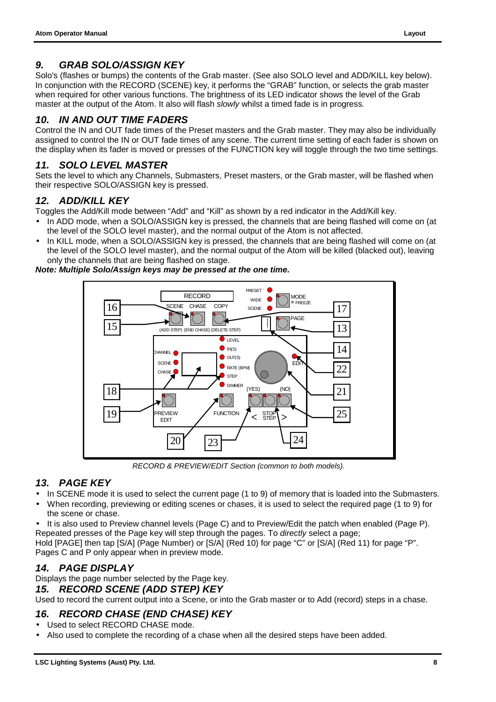#### *9. GRAB SOLO/ASSIGN KEY*

Solo's (flashes or bumps) the contents of the Grab master. (See also SOLO level and ADD/KILL key below). In conjunction with the RECORD (SCENE) key, it performs the "GRAB" function, or selects the grab master when required for other various functions. The brightness of its LED indicator shows the level of the Grab master at the output of the Atom. It also will flash *slowly* whilst a timed fade is in progress*.*

#### *10. IN AND OUT TIME FADERS*

Control the IN and OUT fade times of the Preset masters and the Grab master. They may also be individually assigned to control the IN or OUT fade times of any scene. The current time setting of each fader is shown on the display when its fader is moved or presses of the FUNCTION key will toggle through the two time settings.

#### *11. SOLO LEVEL MASTER*

Sets the level to which any Channels, Submasters, Preset masters, or the Grab master, will be flashed when their respective SOLO/ASSIGN key is pressed.

#### *12. ADD/KILL KEY*

Toggles the Add/Kill mode between "Add" and "Kill" as shown by a red indicator in the Add/Kill key.

- In ADD mode, when a SOLO/ASSIGN key is pressed, the channels that are being flashed will come on (at the level of the SOLO level master), and the normal output of the Atom is not affected.
- In KILL mode, when a SOLO/ASSIGN key is pressed, the channels that are being flashed will come on (at the level of the SOLO level master), and the normal output of the Atom will be killed (blacked out), leaving only the channels that are being flashed on stage.

*Note: Multiple Solo/Assign keys may be pressed at the one time.*



*RECORD & PREVIEW/EDIT Section (common to both models).*

#### *13. PAGE KEY*

- In SCENE mode it is used to select the current page (1 to 9) of memory that is loaded into the Submasters.
- When recording, previewing or editing scenes or chases, it is used to select the required page (1 to 9) for the scene or chase.
- It is also used to Preview channel levels (Page C) and to Preview/Edit the patch when enabled (Page P). Repeated presses of the Page key will step through the pages. To *directly* select a page;

Hold [PAGE] then tap [S/A] (Page Number) or [S/A] (Red 10) for page "C" or [S/A] (Red 11) for page "P". Pages C and P only appear when in preview mode.

#### *14. PAGE DISPLAY*

Displays the page number selected by the Page key.

#### *15. RECORD SCENE (ADD STEP) KEY*

Used to record the current output into a Scene, or into the Grab master or to Add (record) steps in a chase.

#### *16. RECORD CHASE (END CHASE) KEY*

- Used to select RECORD CHASE mode.
- Also used to complete the recording of a chase when all the desired steps have been added.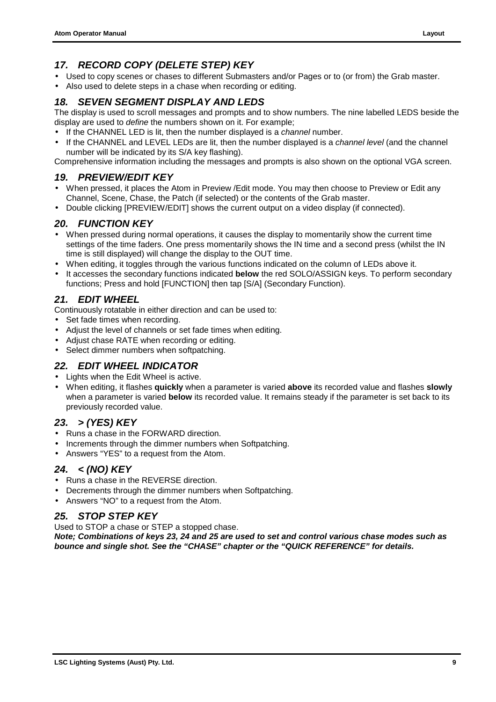#### *17. RECORD COPY (DELETE STEP) KEY*

- Used to copy scenes or chases to different Submasters and/or Pages or to (or from) the Grab master.
- Also used to delete steps in a chase when recording or editing.

#### *18. SEVEN SEGMENT DISPLAY AND LEDS*

The display is used to scroll messages and prompts and to show numbers. The nine labelled LEDS beside the display are used to *define* the numbers shown on it. For example;

- If the CHANNEL LED is lit, then the number displayed is a *channel* number.
- If the CHANNEL and LEVEL LEDs are lit, then the number displayed is a *channel level* (and the channel number will be indicated by its S/A key flashing).

Comprehensive information including the messages and prompts is also shown on the optional VGA screen.

#### *19. PREVIEW/EDIT KEY*

- When pressed, it places the Atom in Preview /Edit mode. You may then choose to Preview or Edit any Channel, Scene, Chase, the Patch (if selected) or the contents of the Grab master.
- Double clicking [PREVIEW/EDIT] shows the current output on a video display (if connected).

#### *20. FUNCTION KEY*

- When pressed during normal operations, it causes the display to momentarily show the current time settings of the time faders. One press momentarily shows the IN time and a second press (whilst the IN time is still displayed) will change the display to the OUT time.
- When editing, it toggles through the various functions indicated on the column of LEDs above it.
- It accesses the secondary functions indicated **below** the red SOLO/ASSIGN keys. To perform secondary functions; Press and hold [FUNCTION] then tap [S/A] (Secondary Function).

#### *21. EDIT WHEEL*

Continuously rotatable in either direction and can be used to:

- Set fade times when recording.
- Adjust the level of channels or set fade times when editing.
- Adjust chase RATE when recording or editing.
- Select dimmer numbers when softpatching.

#### *22. EDIT WHEEL INDICATOR*

- Lights when the Edit Wheel is active.
- When editing, it flashes **quickly** when a parameter is varied **above** its recorded value and flashes **slowly** when a parameter is varied **below** its recorded value. It remains steady if the parameter is set back to its previously recorded value.

#### *23. > (YES) KEY*

- Runs a chase in the FORWARD direction.
- Increments through the dimmer numbers when Softpatching.
- Answers "YES" to a request from the Atom.

#### *24. < (NO) KEY*

- Runs a chase in the REVERSE direction.
- Decrements through the dimmer numbers when Softpatching.
- Answers "NO" to a request from the Atom.

#### *25. STOP STEP KEY*

Used to STOP a chase or STEP a stopped chase.

*Note; Combinations of keys 23, 24 and 25 are used to set and control various chase modes such as bounce and single shot. See the "CHASE" chapter or the "QUICK REFERENCE" for details.*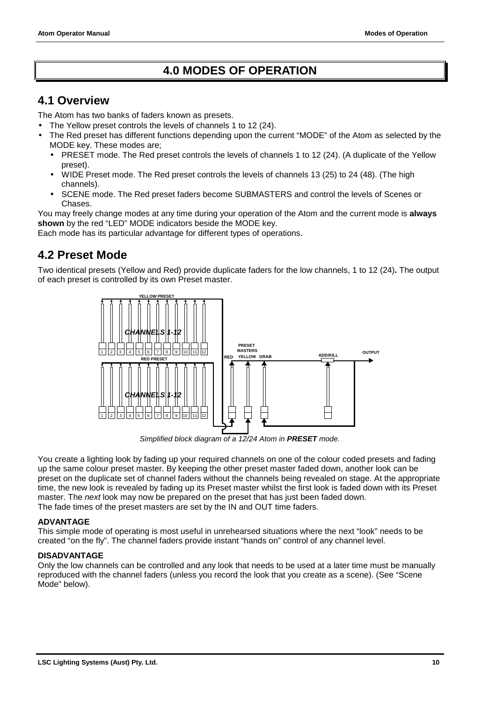### **4.0 MODES OF OPERATION**

#### <span id="page-11-0"></span>**4.1 Overview**

The Atom has two banks of faders known as presets.

- The Yellow preset controls the levels of channels 1 to 12 (24).
- The Red preset has different functions depending upon the current "MODE" of the Atom as selected by the MODE key. These modes are;
	- PRESET mode. The Red preset controls the levels of channels 1 to 12 (24). (A duplicate of the Yellow preset).
	- WIDE Preset mode. The Red preset controls the levels of channels 13 (25) to 24 (48). (The high channels).
	- SCENE mode. The Red preset faders become SUBMASTERS and control the levels of Scenes or Chases.

You may freely change modes at any time during your operation of the Atom and the current mode is **always shown** by the red "LED" MODE indicators beside the MODE key.

Each mode has its particular advantage for different types of operations.

### **4.2 Preset Mode**

Two identical presets (Yellow and Red) provide duplicate faders for the low channels, 1 to 12 (24)**.** The output of each preset is controlled by its own Preset master.



*Simplified block diagram of a 12/24 Atom in PRESET mode.*

You create a lighting look by fading up your required channels on one of the colour coded presets and fading up the same colour preset master. By keeping the other preset master faded down, another look can be preset on the duplicate set of channel faders without the channels being revealed on stage. At the appropriate time, the new look is revealed by fading up its Preset master whilst the first look is faded down with its Preset master. The *next* look may now be prepared on the preset that has just been faded down. The fade times of the preset masters are set by the IN and OUT time faders.

#### **ADVANTAGE**

This simple mode of operating is most useful in unrehearsed situations where the next "look" needs to be created "on the fly". The channel faders provide instant "hands on" control of any channel level.

#### **DISADVANTAGE**

Only the low channels can be controlled and any look that needs to be used at a later time must be manually reproduced with the channel faders (unless you record the look that you create as a scene). (See "Scene Mode" below).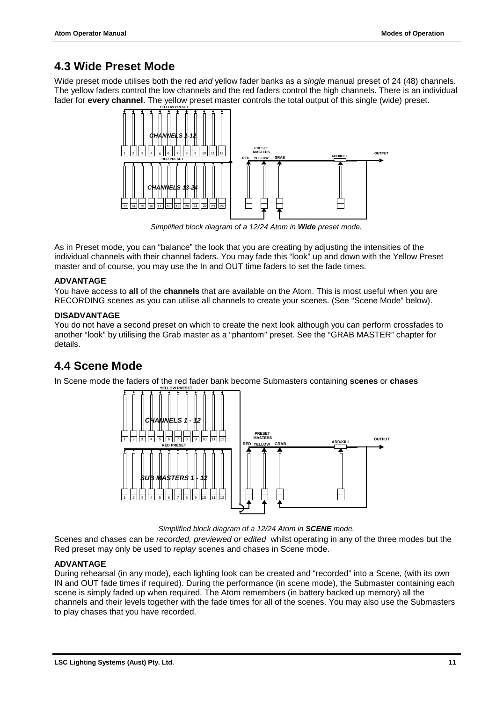### <span id="page-12-0"></span>**4.3 Wide Preset Mode**

Wide preset mode utilises both the red *and* yellow fader banks as a *single* manual preset of 24 (48) channels. The yellow faders control the low channels and the red faders control the high channels. There is an individual fader for **every channel**. The yellow preset master controls the total output of this single (wide) preset.



*Simplified block diagram of a 12/24 Atom in Wide preset mode.*

As in Preset mode, you can "balance" the look that you are creating by adjusting the intensities of the individual channels with their channel faders. You may fade this "look" up and down with the Yellow Preset master and of course, you may use the In and OUT time faders to set the fade times.

#### **ADVANTAGE**

You have access to **all** of the **channels** that are available on the Atom. This is most useful when you are RECORDING scenes as you can utilise all channels to create your scenes. (See "Scene Mode" below).

#### **DISADVANTAGE**

You do not have a second preset on which to create the next look although you can perform crossfades to another "look" by utilising the Grab master as a "phantom" preset. See the "GRAB MASTER" chapter for details.

### **4.4 Scene Mode**

In Scene mode the faders of the red fader bank become Submasters containing **scenes** or **chases**



*Simplified block diagram of a 12/24 Atom in SCENE mode.*

Scenes and chases can be *recorded, previewed or edited* whilst operating in any of the three modes but the Red preset may only be used to *replay* scenes and chases in Scene mode.

#### **ADVANTAGE**

During rehearsal (in any mode), each lighting look can be created and "recorded" into a Scene, (with its own IN and OUT fade times if required). During the performance (in scene mode), the Submaster containing each scene is simply faded up when required. The Atom remembers (in battery backed up memory) all the channels and their levels together with the fade times for all of the scenes. You may also use the Submasters to play chases that you have recorded.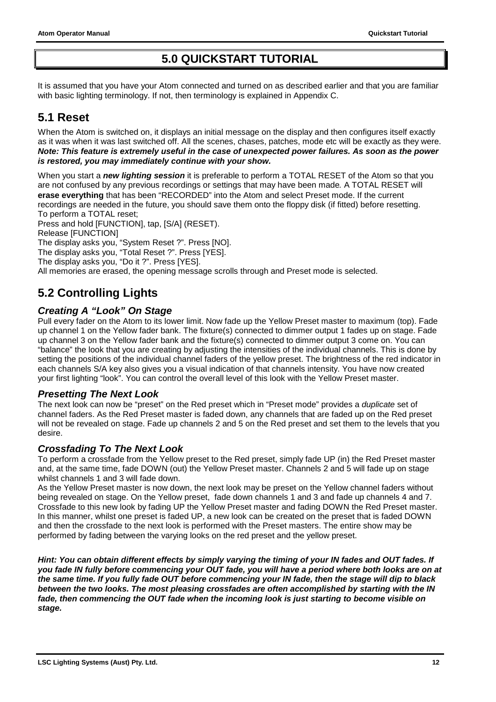### **5.0 QUICKSTART TUTORIAL**

<span id="page-13-0"></span>It is assumed that you have your Atom connected and turned on as described earlier and that you are familiar with basic lighting terminology. If not, then terminology is explained in Appendix C.

### **5.1 Reset**

When the Atom is switched on, it displays an initial message on the display and then configures itself exactly as it was when it was last switched off. All the scenes, chases, patches, mode etc will be exactly as they were. *Note: This feature is extremely useful in the case of unexpected power failures. As soon as the power is restored, you may immediately continue with your show.*

When you start a *new lighting session* it is preferable to perform a TOTAL RESET of the Atom so that you are not confused by any previous recordings or settings that may have been made*.* A TOTAL RESET will **erase everything** that has been "RECORDED" into the Atom and select Preset mode. If the current recordings are needed in the future, you should save them onto the floppy disk (if fitted) before resetting. To perform a TOTAL reset;

Press and hold [FUNCTION], tap, [S/A] (RESET). Release [FUNCTION] The display asks you, "System Reset ?". Press [NO]. The display asks you, "Total Reset ?". Press [YES].

The display asks you, "Do it ?". Press [YES].

All memories are erased, the opening message scrolls through and Preset mode is selected.

### **5.2 Controlling Lights**

#### *Creating A "Look" On Stage*

Pull every fader on the Atom to its lower limit. Now fade up the Yellow Preset master to maximum (top). Fade up channel 1 on the Yellow fader bank. The fixture(s) connected to dimmer output 1 fades up on stage. Fade up channel 3 on the Yellow fader bank and the fixture(s) connected to dimmer output 3 come on. You can "balance" the look that you are creating by adjusting the intensities of the individual channels. This is done by setting the positions of the individual channel faders of the yellow preset. The brightness of the red indicator in each channels S/A key also gives you a visual indication of that channels intensity. You have now created your first lighting "look". You can control the overall level of this look with the Yellow Preset master.

#### *Presetting The Next Look*

The next look can now be "preset" on the Red preset which in "Preset mode" provides a *duplicate* set of channel faders. As the Red Preset master is faded down, any channels that are faded up on the Red preset will not be revealed on stage. Fade up channels 2 and 5 on the Red preset and set them to the levels that you desire.

#### *Crossfading To The Next Look*

To perform a crossfade from the Yellow preset to the Red preset, simply fade UP (in) the Red Preset master and, at the same time, fade DOWN (out) the Yellow Preset master. Channels 2 and 5 will fade up on stage whilst channels 1 and 3 will fade down.

As the Yellow Preset master is now down, the next look may be preset on the Yellow channel faders without being revealed on stage. On the Yellow preset, fade down channels 1 and 3 and fade up channels 4 and 7. Crossfade to this new look by fading UP the Yellow Preset master and fading DOWN the Red Preset master. In this manner, whilst one preset is faded UP, a new look can be created on the preset that is faded DOWN and then the crossfade to the next look is performed with the Preset masters. The entire show may be performed by fading between the varying looks on the red preset and the yellow preset.

*Hint: You can obtain different effects by simply varying the timing of your IN fades and OUT fades. If you fade IN fully before commencing your OUT fade, you will have a period where both looks are on at the same time. If you fully fade OUT before commencing your IN fade, then the stage will dip to black between the two looks. The most pleasing crossfades are often accomplished by starting with the IN fade, then commencing the OUT fade when the incoming look is just starting to become visible on stage.*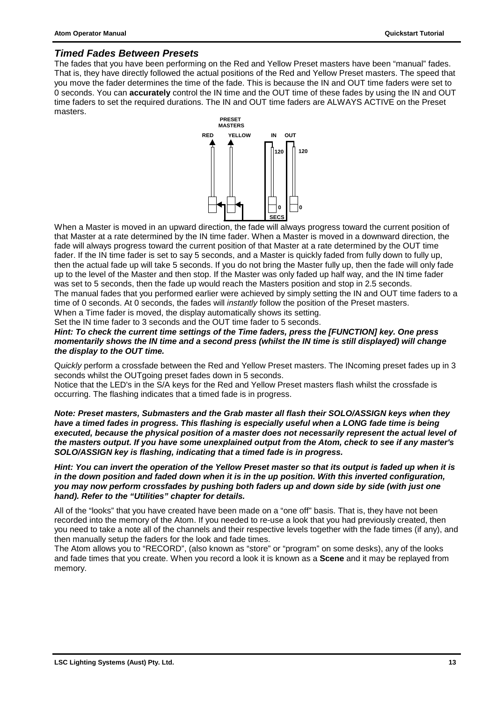#### *Timed Fades Between Presets*

The fades that you have been performing on the Red and Yellow Preset masters have been "manual" fades. That is, they have directly followed the actual positions of the Red and Yellow Preset masters. The speed that you move the fader determines the time of the fade. This is because the IN and OUT time faders were set to 0 seconds. You can **accurately** control the IN time and the OUT time of these fades by using the IN and OUT time faders to set the required durations. The IN and OUT time faders are ALWAYS ACTIVE on the Preset masters.



When a Master is moved in an upward direction, the fade will always progress toward the current position of that Master at a rate determined by the IN time fader. When a Master is moved in a downward direction, the fade will always progress toward the current position of that Master at a rate determined by the OUT time fader. If the IN time fader is set to say 5 seconds, and a Master is quickly faded from fully down to fully up, then the actual fade up will take 5 seconds. If you do not bring the Master fully up, then the fade will only fade up to the level of the Master and then stop. If the Master was only faded up half way, and the IN time fader was set to 5 seconds, then the fade up would reach the Masters position and stop in 2.5 seconds. The manual fades that you performed earlier were achieved by simply setting the IN and OUT time faders to a time of 0 seconds. At 0 seconds, the fades will *instantly* follow the position of the Preset masters. When a Time fader is moved, the display automatically shows its setting.

Set the IN time fader to 3 seconds and the OUT time fader to 5 seconds.

#### *Hint: To check the current time settings of the Time faders, press the [FUNCTION] key. One press momentarily shows the IN time and a second press (whilst the IN time is still displayed) will change the display to the OUT time.*

Q*uickly* perform a crossfade between the Red and Yellow Preset masters. The INcoming preset fades up in 3 seconds whilst the OUTgoing preset fades down in 5 seconds.

Notice that the LED's in the S/A keys for the Red and Yellow Preset masters flash whilst the crossfade is occurring. The flashing indicates that a timed fade is in progress.

*Note: Preset masters, Submasters and the Grab master all flash their SOLO/ASSIGN keys when they have a timed fades in progress. This flashing is especially useful when a LONG fade time is being executed, because the physical position of a master does not necessarily represent the actual level of the masters output. If you have some unexplained output from the Atom, check to see if any master's SOLO/ASSIGN key is flashing, indicating that a timed fade is in progress.*

*Hint: You can invert the operation of the Yellow Preset master so that its output is faded up when it is in the down position and faded down when it is in the up position. With this inverted configuration, you may now perform crossfades by pushing both faders up and down side by side (with just one hand). Refer to the "Utilities" chapter for details.*

All of the "looks" that you have created have been made on a "one off" basis. That is, they have not been recorded into the memory of the Atom. If you needed to re-use a look that you had previously created, then you need to take a note all of the channels and their respective levels together with the fade times (if any), and then manually setup the faders for the look and fade times.

The Atom allows you to "RECORD", (also known as "store" or "program" on some desks), any of the looks and fade times that you create. When you record a look it is known as a **Scene** and it may be replayed from memory.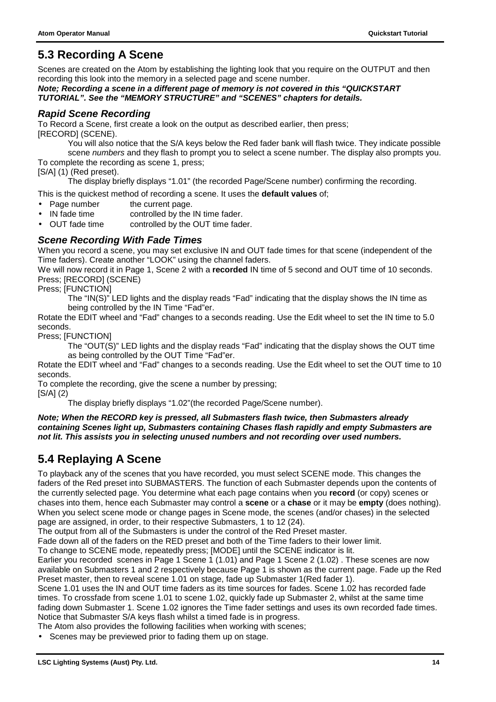### <span id="page-15-0"></span>**5.3 Recording A Scene**

Scenes are created on the Atom by establishing the lighting look that you require on the OUTPUT and then recording this look into the memory in a selected page and scene number.

*Note; Recording a scene in a different page of memory is not covered in this "QUICKSTART TUTORIAL". See the "MEMORY STRUCTURE" and "SCENES" chapters for details.*

#### *Rapid Scene Recording*

To Record a Scene, first create a look on the output as described earlier, then press; [RECORD] (SCENE).

You will also notice that the S/A keys below the Red fader bank will flash twice. They indicate possible scene *numbers* and they flash to prompt you to select a scene number. The display also prompts you. To complete the recording as scene 1, press;

[S/A] (1) (Red preset).

The display briefly displays "1.01" (the recorded Page/Scene number) confirming the recording.

This is the quickest method of recording a scene. It uses the **default values** of;

- Page number the current page.
- IN fade time controlled by the IN time fader.<br>OUT fade time controlled by the OUT time fade
- controlled by the OUT time fader.

#### *Scene Recording With Fade Times*

When you record a scene, you may set exclusive IN and OUT fade times for that scene (independent of the Time faders). Create another "LOOK" using the channel faders.

We will now record it in Page 1, Scene 2 with a **recorded** IN time of 5 second and OUT time of 10 seconds. Press; [RECORD] (SCENE)

Press; [FUNCTION]

The "IN(S)" LED lights and the display reads "Fad" indicating that the display shows the IN time as being controlled by the IN Time "Fad"er.

Rotate the EDIT wheel and "Fad" changes to a seconds reading. Use the Edit wheel to set the IN time to 5.0 seconds.

Press; [FUNCTION]

The "OUT(S)" LED lights and the display reads "Fad" indicating that the display shows the OUT time as being controlled by the OUT Time "Fad"er.

Rotate the EDIT wheel and "Fad" changes to a seconds reading. Use the Edit wheel to set the OUT time to 10 seconds.

To complete the recording, give the scene a number by pressing;

[S/A] (2)

The display briefly displays "1.02"(the recorded Page/Scene number).

*Note; When the RECORD key is pressed, all Submasters flash twice, then Submasters already containing Scenes light up, Submasters containing Chases flash rapidly and empty Submasters are not lit. This assists you in selecting unused numbers and not recording over used numbers.*

### **5.4 Replaying A Scene**

To playback any of the scenes that you have recorded, you must select SCENE mode. This changes the faders of the Red preset into SUBMASTERS. The function of each Submaster depends upon the contents of the currently selected page. You determine what each page contains when you **record** (or copy) scenes or chases into them, hence each Submaster may control a **scene** or a **chase** or it may be **empty** (does nothing). When you select scene mode or change pages in Scene mode, the scenes (and/or chases) in the selected page are assigned, in order, to their respective Submasters, 1 to 12 (24).

The output from all of the Submasters is under the control of the Red Preset master.

Fade down all of the faders on the RED preset and both of the Time faders to their lower limit.

To change to SCENE mode, repeatedly press; [MODE] until the SCENE indicator is lit.

Earlier you recorded scenes in Page 1 Scene 1 (1.01) and Page 1 Scene 2 (1.02) . These scenes are now available on Submasters 1 and 2 respectively because Page 1 is shown as the current page. Fade up the Red Preset master, then to reveal scene 1.01 on stage, fade up Submaster 1(Red fader 1).

Scene 1.01 uses the IN and OUT time faders as its time sources for fades. Scene 1.02 has recorded fade times. To crossfade from scene 1.01 to scene 1.02, quickly fade up Submaster 2, whilst at the same time fading down Submaster 1. Scene 1.02 ignores the Time fader settings and uses its own recorded fade times. Notice that Submaster S/A keys flash whilst a timed fade is in progress.

The Atom also provides the following facilities when working with scenes;

• Scenes may be previewed prior to fading them up on stage.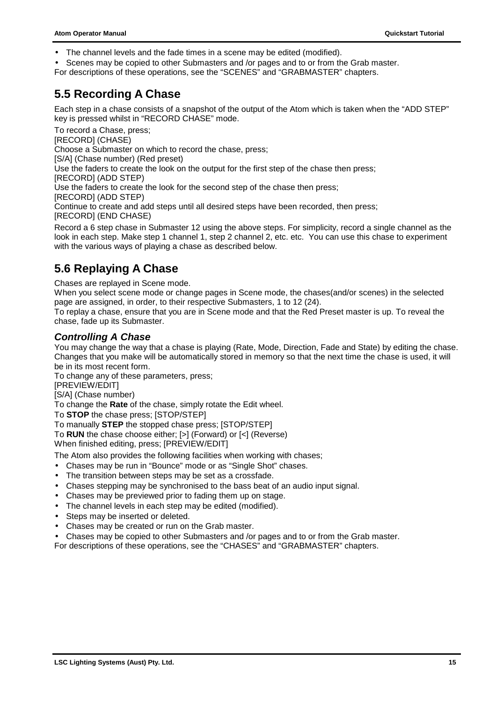- <span id="page-16-0"></span>• The channel levels and the fade times in a scene may be edited (modified).
- Scenes may be copied to other Submasters and /or pages and to or from the Grab master.

For descriptions of these operations, see the "SCENES" and "GRABMASTER" chapters.

### **5.5 Recording A Chase**

Each step in a chase consists of a snapshot of the output of the Atom which is taken when the "ADD STEP" key is pressed whilst in "RECORD CHASE" mode.

To record a Chase, press;

[RECORD] (CHASE)

Choose a Submaster on which to record the chase, press;

[S/A] (Chase number) (Red preset)

Use the faders to create the look on the output for the first step of the chase then press;

[RECORD] (ADD STEP)

Use the faders to create the look for the second step of the chase then press;

[RECORD] (ADD STEP)

Continue to create and add steps until all desired steps have been recorded, then press; [RECORD] (END CHASE)

Record a 6 step chase in Submaster 12 using the above steps. For simplicity, record a single channel as the look in each step. Make step 1 channel 1, step 2 channel 2, etc. etc. You can use this chase to experiment with the various ways of playing a chase as described below.

### **5.6 Replaying A Chase**

Chases are replayed in Scene mode.

When you select scene mode or change pages in Scene mode, the chases(and/or scenes) in the selected page are assigned, in order, to their respective Submasters, 1 to 12 (24).

To replay a chase, ensure that you are in Scene mode and that the Red Preset master is up. To reveal the chase, fade up its Submaster.

#### *Controlling A Chase*

You may change the way that a chase is playing (Rate, Mode, Direction, Fade and State) by editing the chase. Changes that you make will be automatically stored in memory so that the next time the chase is used, it will be in its most recent form.

To change any of these parameters, press;

[PREVIEW/EDIT]

[S/A] (Chase number)

To change the **Rate** of the chase, simply rotate the Edit wheel.

To **STOP** the chase press; [STOP/STEP]

To manually **STEP** the stopped chase press; [STOP/STEP]

To **RUN** the chase choose either; [>] (Forward) or [<] (Reverse)

When finished editing, press; [PREVIEW/EDIT]

The Atom also provides the following facilities when working with chases;

- Chases may be run in "Bounce" mode or as "Single Shot" chases.
- The transition between steps may be set as a crossfade.
- Chases stepping may be synchronised to the bass beat of an audio input signal.
- Chases may be previewed prior to fading them up on stage.
- The channel levels in each step may be edited (modified).
- Steps may be inserted or deleted.
- Chases may be created or run on the Grab master.
- Chases may be copied to other Submasters and /or pages and to or from the Grab master.

For descriptions of these operations, see the "CHASES" and "GRABMASTER" chapters.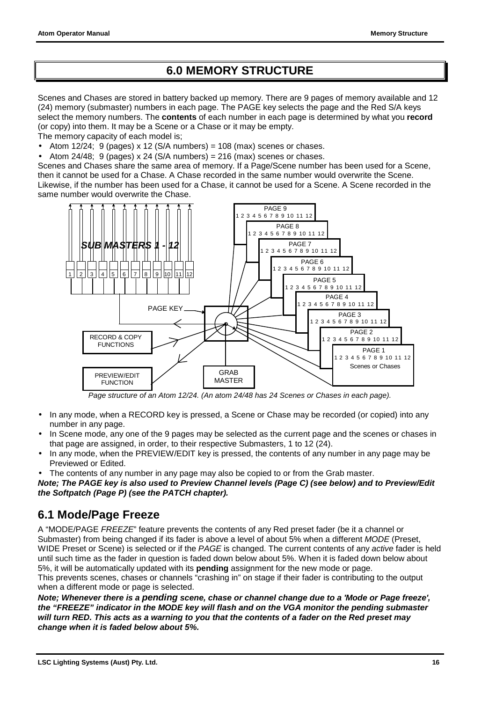### **6.0 MEMORY STRUCTURE**

<span id="page-17-0"></span>Scenes and Chases are stored in battery backed up memory. There are 9 pages of memory available and 12 (24) memory (submaster) numbers in each page. The PAGE key selects the page and the Red S/A keys select the memory numbers. The **contents** of each number in each page is determined by what you **record** (or copy) into them. It may be a Scene or a Chase or it may be empty.

The memory capacity of each model is;

- Atom 12/24; 9 (pages) x 12 (S/A numbers) = 108 (max) scenes or chases.
- Atom 24/48; 9 (pages) x 24 (S/A numbers) = 216 (max) scenes or chases.

Scenes and Chases share the same area of memory. If a Page/Scene number has been used for a Scene, then it cannot be used for a Chase. A Chase recorded in the same number would overwrite the Scene. Likewise, if the number has been used for a Chase, it cannot be used for a Scene. A Scene recorded in the same number would overwrite the Chase.



*Page structure of an Atom 12/24. (An atom 24/48 has 24 Scenes or Chases in each page).*

- In any mode, when a RECORD key is pressed, a Scene or Chase may be recorded (or copied) into any number in any page.
- In Scene mode, any one of the 9 pages may be selected as the current page and the scenes or chases in that page are assigned, in order, to their respective Submasters, 1 to 12 (24).
- In any mode, when the PREVIEW/EDIT key is pressed, the contents of any number in any page may be Previewed or Edited.
- The contents of any number in any page may also be copied to or from the Grab master.

*Note; The PAGE key is also used to Preview Channel levels (Page C) (see below) and to Preview/Edit the Softpatch (Page P) (see the PATCH chapter).*

### **6.1 Mode/Page Freeze**

A "MODE/PAGE *FREEZE*" feature prevents the contents of any Red preset fader (be it a channel or Submaster) from being changed if its fader is above a level of about 5% when a different *MODE* (Preset, WIDE Preset or Scene) is selected or if the *PAGE* is changed. The current contents of any *active* fader is held until such time as the fader in question is faded down below about 5%. When it is faded down below about 5%, it will be automatically updated with its **pending** assignment for the new mode or page.

This prevents scenes, chases or channels "crashing in" on stage if their fader is contributing to the output when a different mode or page is selected.

*Note; Whenever there is a pending scene, chase or channel change due to a 'Mode or Page freeze', the "FREEZE" indicator in the MODE key will flash and on the VGA monitor the pending submaster will turn RED. This acts as a warning to you that the contents of a fader on the Red preset may change when it is faded below about 5%.*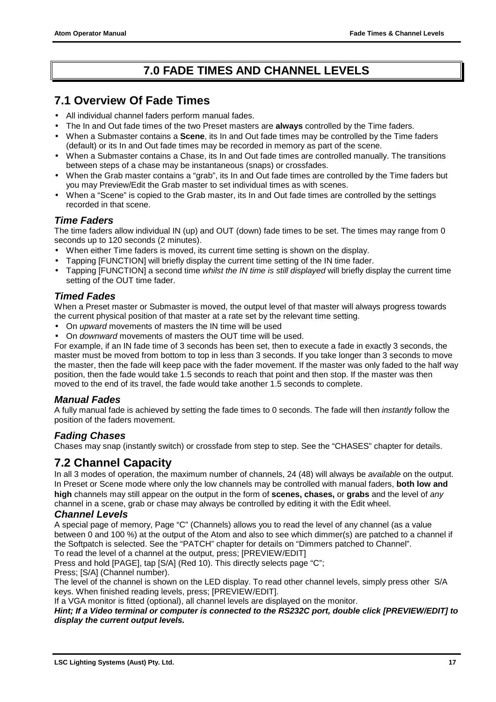### **7.0 FADE TIMES AND CHANNEL LEVELS**

### <span id="page-18-0"></span>**7.1 Overview Of Fade Times**

- All individual channel faders perform manual fades.
- The In and Out fade times of the two Preset masters are **always** controlled by the Time faders.
- When a Submaster contains a **Scene**, its In and Out fade times may be controlled by the Time faders (default) or its In and Out fade times may be recorded in memory as part of the scene.
- When a Submaster contains a Chase, its In and Out fade times are controlled manually. The transitions between steps of a chase may be instantaneous (snaps) or crossfades.
- When the Grab master contains a "grab", its In and Out fade times are controlled by the Time faders but you may Preview/Edit the Grab master to set individual times as with scenes.
- When a "Scene" is copied to the Grab master, its In and Out fade times are controlled by the settings recorded in that scene.

#### *Time Faders*

The time faders allow individual IN (up) and OUT (down) fade times to be set. The times may range from 0 seconds up to 120 seconds (2 minutes).

- When either Time faders is moved, its current time setting is shown on the display.
- Tapping [FUNCTION] will briefly display the current time setting of the IN time fader.
- Tapping [FUNCTION] a second time *whilst the IN time is still displayed* will briefly display the current time setting of the OUT time fader.

#### *Timed Fades*

When a Preset master or Submaster is moved, the output level of that master will always progress towards the current physical position of that master at a rate set by the relevant time setting.

- On *upward* movements of masters the IN time will be used
- On *downward* movements of masters the OUT time will be used.

For example, if an IN fade time of 3 seconds has been set, then to execute a fade in exactly 3 seconds, the master must be moved from bottom to top in less than 3 seconds. If you take longer than 3 seconds to move the master, then the fade will keep pace with the fader movement. If the master was only faded to the half way position, then the fade would take 1.5 seconds to reach that point and then stop. If the master was then moved to the end of its travel, the fade would take another 1.5 seconds to complete.

#### *Manual Fades*

A fully manual fade is achieved by setting the fade times to 0 seconds. The fade will then *instantly* follow the position of the faders movement.

#### *Fading Chases*

Chases may snap (instantly switch) or crossfade from step to step. See the "CHASES" chapter for details.

### **7.2 Channel Capacity**

In all 3 modes of operation, the maximum number of channels, 24 (48) will always be *available* on the output. In Preset or Scene mode where only the low channels may be controlled with manual faders, **both low and high** channels may still appear on the output in the form of **scenes, chases,** or **grabs** and the level of *any* channel in a scene, grab or chase may always be controlled by editing it with the Edit wheel.

#### *Channel Levels*

A special page of memory, Page "C" (Channels) allows you to read the level of any channel (as a value between 0 and 100 %) at the output of the Atom and also to see which dimmer(s) are patched to a channel if the Softpatch is selected. See the "PATCH" chapter for details on "Dimmers patched to Channel". To read the level of a channel at the output, press; [PREVIEW/EDIT]

Press and hold [PAGE], tap [S/A] (Red 10). This directly selects page "C";

Press; [S/A] (Channel number).

The level of the channel is shown on the LED display. To read other channel levels, simply press other S/A keys. When finished reading levels, press; [PREVIEW/EDIT].

If a VGA monitor is fitted (optional), all channel levels are displayed on the monitor.

*Hint; If a Video terminal or computer is connected to the RS232C port, double click [PREVIEW/EDIT] to display the current output levels.*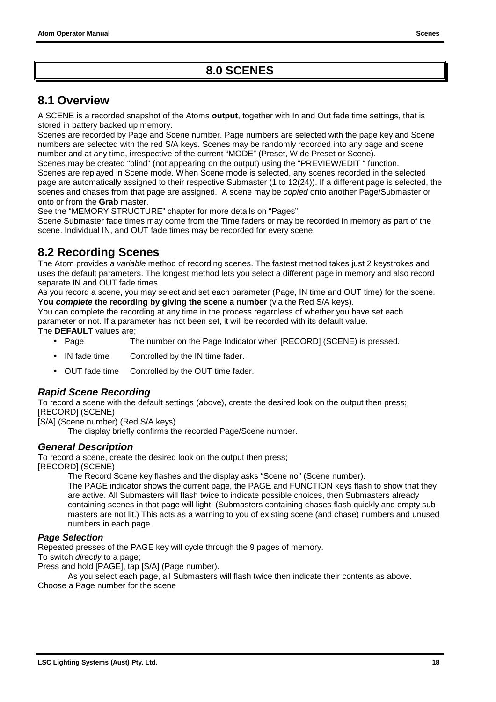### **8.0 SCENES**

### <span id="page-19-0"></span>**8.1 Overview**

A SCENE is a recorded snapshot of the Atoms **output**, together with In and Out fade time settings, that is stored in battery backed up memory.

Scenes are recorded by Page and Scene number. Page numbers are selected with the page key and Scene numbers are selected with the red S/A keys. Scenes may be randomly recorded into any page and scene number and at any time, irrespective of the current "MODE" (Preset, Wide Preset or Scene).

Scenes may be created "blind" (not appearing on the output) using the "PREVIEW/EDIT " function. Scenes are replayed in Scene mode. When Scene mode is selected, any scenes recorded in the selected page are automatically assigned to their respective Submaster (1 to 12(24)). If a different page is selected, the scenes and chases from that page are assigned. A scene may be *copied* onto another Page/Submaster or onto or from the **Grab** master.

See the "MEMORY STRUCTURE" chapter for more details on "Pages".

Scene Submaster fade times may come from the Time faders or may be recorded in memory as part of the scene. Individual IN, and OUT fade times may be recorded for every scene.

### **8.2 Recording Scenes**

The Atom provides a *variable* method of recording scenes. The fastest method takes just 2 keystrokes and uses the default parameters. The longest method lets you select a different page in memory and also record separate IN and OUT fade times.

As you record a scene, you may select and set each parameter (Page, IN time and OUT time) for the scene. **You** *complete* **the recording by giving the scene a number** (via the Red S/A keys).

You can complete the recording at any time in the process regardless of whether you have set each parameter or not. If a parameter has not been set, it will be recorded with its default value.

The **DEFAULT** values are;

- Page The number on the Page Indicator when [RECORD] (SCENE) is pressed.
- IN fade time Controlled by the IN time fader.
- OUT fade time Controlled by the OUT time fader.

#### *Rapid Scene Recording*

To record a scene with the default settings (above), create the desired look on the output then press; [RECORD] (SCENE)

[S/A] (Scene number) (Red S/A keys)

The display briefly confirms the recorded Page/Scene number.

#### *General Description*

To record a scene, create the desired look on the output then press; [RECORD] (SCENE)

The Record Scene key flashes and the display asks "Scene no" (Scene number).

The PAGE indicator shows the current page, the PAGE and FUNCTION keys flash to show that they are active. All Submasters will flash twice to indicate possible choices, then Submasters already containing scenes in that page will light. (Submasters containing chases flash quickly and empty sub masters are not lit.) This acts as a warning to you of existing scene (and chase) numbers and unused numbers in each page.

#### *Page Selection*

Repeated presses of the PAGE key will cycle through the 9 pages of memory.

To switch *directly* to a page;

Press and hold [PAGE], tap [S/A] (Page number).

As you select each page, all Submasters will flash twice then indicate their contents as above. Choose a Page number for the scene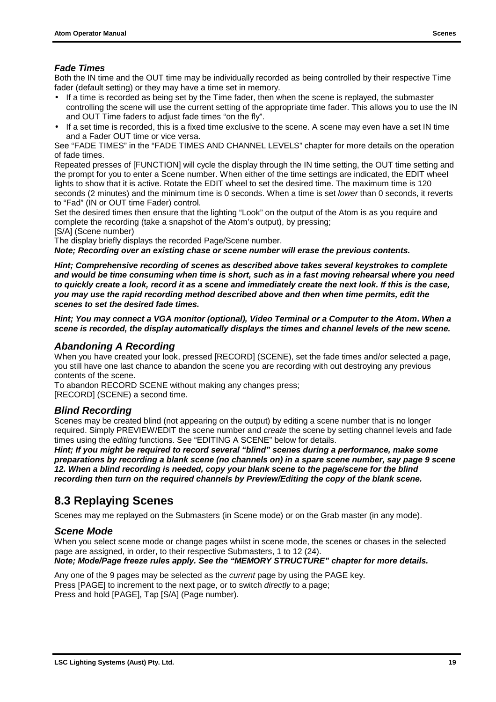#### <span id="page-20-0"></span>*Fade Times*

Both the IN time and the OUT time may be individually recorded as being controlled by their respective Time fader (default setting) or they may have a time set in memory.

- If a time is recorded as being set by the Time fader, then when the scene is replayed, the submaster controlling the scene will use the current setting of the appropriate time fader. This allows you to use the IN and OUT Time faders to adjust fade times "on the fly".
- If a set time is recorded, this is a fixed time exclusive to the scene. A scene may even have a set IN time and a Fader OUT time or vice versa.

See "FADE TIMES" in the "FADE TIMES AND CHANNEL LEVELS" chapter for more details on the operation of fade times.

Repeated presses of [FUNCTION] will cycle the display through the IN time setting, the OUT time setting and the prompt for you to enter a Scene number. When either of the time settings are indicated, the EDIT wheel lights to show that it is active. Rotate the EDIT wheel to set the desired time. The maximum time is 120 seconds (2 minutes) and the minimum time is 0 seconds. When a time is set *lower* than 0 seconds, it reverts to "Fad" (IN or OUT time Fader) control.

Set the desired times then ensure that the lighting "Look" on the output of the Atom is as you require and complete the recording (take a snapshot of the Atom's output), by pressing;

[S/A] (Scene number)

The display briefly displays the recorded Page/Scene number.

*Note; Recording over an existing chase or scene number will erase the previous contents.*

*Hint; Comprehensive recording of scenes as described above takes several keystrokes to complete and would be time consuming when time is short, such as in a fast moving rehearsal where you need to quickly create a look, record it as a scene and immediately create the next look. If this is the case, you may use the rapid recording method described above and then when time permits, edit the scenes to set the desired fade times.*

*Hint; You may connect a VGA monitor (optional), Video Terminal or a Computer to the Atom***.** *When a scene is recorded, the display automatically displays the times and channel levels of the new scene.*

#### *Abandoning A Recording*

When you have created your look, pressed [RECORD] (SCENE), set the fade times and/or selected a page, you still have one last chance to abandon the scene you are recording with out destroying any previous contents of the scene.

To abandon RECORD SCENE without making any changes press;

[RECORD] (SCENE) a second time.

#### *Blind Recording*

Scenes may be created blind (not appearing on the output) by editing a scene number that is no longer required. Simply PREVIEW/EDIT the scene number and *create* the scene by setting channel levels and fade times using the *editing* functions. See "EDITING A SCENE" below for details.

*Hint; If you might be required to record several "blind" scenes during a performance, make some preparations by recording a blank scene (no channels on) in a spare scene number, say page 9 scene 12. When a blind recording is needed, copy your blank scene to the page/scene for the blind recording then turn on the required channels by Preview/Editing the copy of the blank scene.*

### **8.3 Replaying Scenes**

Scenes may me replayed on the Submasters (in Scene mode) or on the Grab master (in any mode).

#### *Scene Mode*

When you select scene mode or change pages whilst in scene mode, the scenes or chases in the selected page are assigned, in order, to their respective Submasters, 1 to 12 (24).

#### *Note; Mode/Page freeze rules apply. See the "MEMORY STRUCTURE" chapter for more details.*

Any one of the 9 pages may be selected as the *current* page by using the PAGE key. Press [PAGE] to increment to the next page, or to switch *directly* to a page; Press and hold [PAGE], Tap [S/A] (Page number).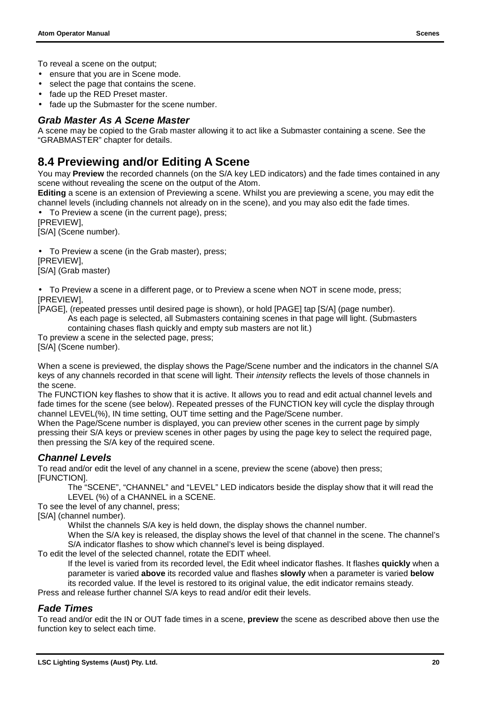<span id="page-21-0"></span>To reveal a scene on the output;

- ensure that you are in Scene mode.
- select the page that contains the scene.
- fade up the RED Preset master.
- fade up the Submaster for the scene number.

#### *Grab Master As A Scene Master*

A scene may be copied to the Grab master allowing it to act like a Submaster containing a scene. See the "GRABMASTER" chapter for details.

### **8.4 Previewing and/or Editing A Scene**

You may **Preview** the recorded channels (on the S/A key LED indicators) and the fade times contained in any scene without revealing the scene on the output of the Atom.

**Editing** a scene is an extension of Previewing a scene. Whilst you are previewing a scene, you may edit the channel levels (including channels not already on in the scene), and you may also edit the fade times.

To Preview a scene (in the current page), press; [PREVIEW],

[S/A] (Scene number).

• To Preview a scene (in the Grab master), press;

[PREVIEW],

[S/A] (Grab master)

• To Preview a scene in a different page, or to Preview a scene when NOT in scene mode, press; [PREVIEW],

[PAGE], (repeated presses until desired page is shown), or hold [PAGE] tap [S/A] (page number).

As each page is selected, all Submasters containing scenes in that page will light. (Submasters

containing chases flash quickly and empty sub masters are not lit.)

To preview a scene in the selected page, press;

[S/A] (Scene number).

When a scene is previewed, the display shows the Page/Scene number and the indicators in the channel S/A keys of any channels recorded in that scene will light. Their *intensity* reflects the levels of those channels in the scene.

The FUNCTION key flashes to show that it is active. It allows you to read and edit actual channel levels and fade times for the scene (see below). Repeated presses of the FUNCTION key will cycle the display through channel LEVEL(%), IN time setting, OUT time setting and the Page/Scene number.

When the Page/Scene number is displayed, you can preview other scenes in the current page by simply pressing their S/A keys or preview scenes in other pages by using the page key to select the required page, then pressing the S/A key of the required scene.

#### *Channel Levels*

To read and/or edit the level of any channel in a scene, preview the scene (above) then press; [FUNCTION].

The "SCENE", "CHANNEL" and "LEVEL" LED indicators beside the display show that it will read the LEVEL (%) of a CHANNEL in a SCENE.

To see the level of any channel, press;

[S/A] (channel number).

Whilst the channels S/A key is held down, the display shows the channel number.

When the S/A key is released, the display shows the level of that channel in the scene. The channel's S/A indicator flashes to show which channel's level is being displayed.

To edit the level of the selected channel, rotate the EDIT wheel.

If the level is varied from its recorded level, the Edit wheel indicator flashes. It flashes **quickly** when a parameter is varied **above** its recorded value and flashes **slowly** when a parameter is varied **below** its recorded value. If the level is restored to its original value, the edit indicator remains steady.

Press and release further channel S/A keys to read and/or edit their levels.

#### *Fade Times*

To read and/or edit the IN or OUT fade times in a scene, **preview** the scene as described above then use the function key to select each time.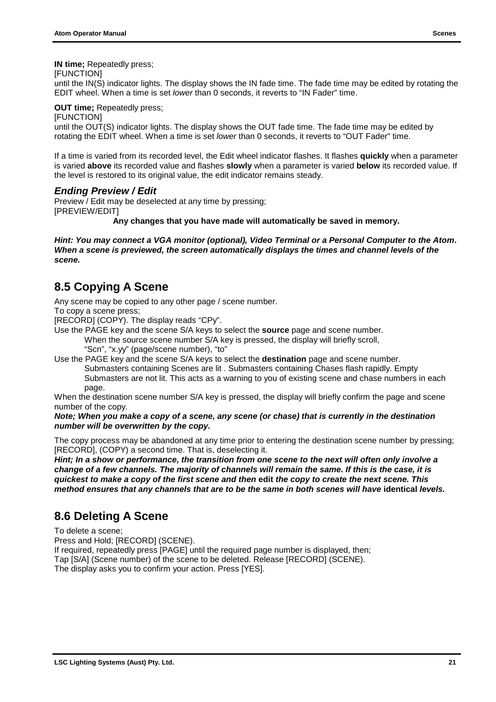<span id="page-22-0"></span>**IN time;** Repeatedly press;

[FUNCTION]

until the IN(S) indicator lights. The display shows the IN fade time. The fade time may be edited by rotating the EDIT wheel. When a time is set *lower* than 0 seconds, it reverts to "IN Fader" time.

#### **OUT time: Repeatedly press:**

**IFUNCTIONI** 

until the OUT(S) indicator lights. The display shows the OUT fade time. The fade time may be edited by rotating the EDIT wheel. When a time is set *lower* than 0 seconds, it reverts to "OUT Fader" time.

If a time is varied from its recorded level, the Edit wheel indicator flashes. It flashes **quickly** when a parameter is varied **above** its recorded value and flashes **slowly** when a parameter is varied **below** its recorded value. If the level is restored to its original value, the edit indicator remains steady.

#### *Ending Preview / Edit*

Preview / Edit may be deselected at any time by pressing; [PREVIEW/EDIT]

**Any changes that you have made will automatically be saved in memory.**

*Hint: You may connect a VGA monitor (optional), Video Terminal or a Personal Computer to the Atom***.** *When a scene is previewed, the screen automatically displays the times and channel levels of the scene.*

### **8.5 Copying A Scene**

Any scene may be copied to any other page / scene number. To copy a scene press;

[RECORD] (COPY). The display reads "CPy".

- Use the PAGE key and the scene S/A keys to select the **source** page and scene number. When the source scene number S/A key is pressed, the display will briefly scroll,
	- "Scn", "x.yy" (page/scene number), "to"
- Use the PAGE key and the scene S/A keys to select the **destination** page and scene number. Submasters containing Scenes are lit . Submasters containing Chases flash rapidly. Empty Submasters are not lit. This acts as a warning to you of existing scene and chase numbers in each page.

When the destination scene number S/A key is pressed, the display will briefly confirm the page and scene number of the copy.

#### *Note; When you make a copy of a scene, any scene (or chase) that is currently in the destination number will be overwritten by the copy.*

The copy process may be abandoned at any time prior to entering the destination scene number by pressing; [RECORD], (COPY) a second time. That is, deselecting it.

*Hint; In a show or performance, the transition from one scene to the next will often only involve a change of a few channels. The majority of channels will remain the same. If this is the case, it is quickest to make a copy of the first scene and then* **edit** *the copy to create the next scene. This method ensures that any channels that are to be the same in both scenes will have identical levels.* 

### **8.6 Deleting A Scene**

To delete a scene;

Press and Hold; [RECORD] (SCENE).

If required, repeatedly press [PAGE] until the required page number is displayed, then;

Tap [S/A] (Scene number) of the scene to be deleted. Release [RECORD] (SCENE).

The display asks you to confirm your action. Press [YES].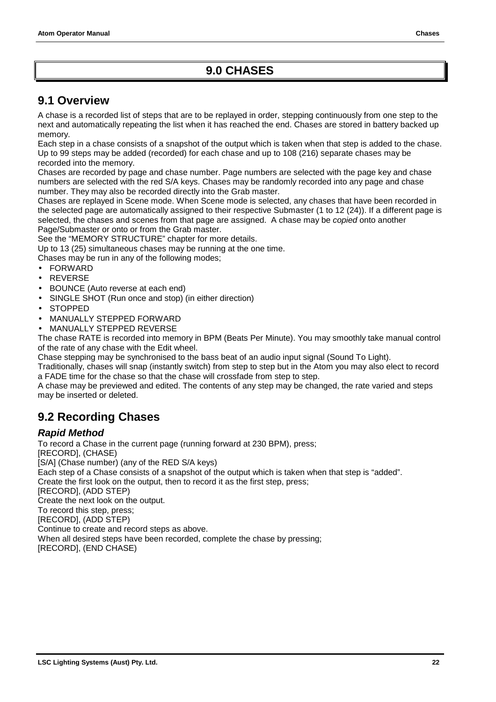### **9.0 CHASES**

### <span id="page-23-0"></span>**9.1 Overview**

A chase is a recorded list of steps that are to be replayed in order, stepping continuously from one step to the next and automatically repeating the list when it has reached the end. Chases are stored in battery backed up memory.

Each step in a chase consists of a snapshot of the output which is taken when that step is added to the chase. Up to 99 steps may be added (recorded) for each chase and up to 108 (216) separate chases may be recorded into the memory.

Chases are recorded by page and chase number. Page numbers are selected with the page key and chase numbers are selected with the red S/A keys. Chases may be randomly recorded into any page and chase number. They may also be recorded directly into the Grab master.

Chases are replayed in Scene mode. When Scene mode is selected, any chases that have been recorded in the selected page are automatically assigned to their respective Submaster (1 to 12 (24)). If a different page is selected, the chases and scenes from that page are assigned. A chase may be *copied* onto another Page/Submaster or onto or from the Grab master.

See the "MEMORY STRUCTURE" chapter for more details.

Up to 13 (25) simultaneous chases may be running at the one time.

Chases may be run in any of the following modes;

- FORWARD
- **REVERSE**
- BOUNCE (Auto reverse at each end)
- SINGLE SHOT (Run once and stop) (in either direction)
- STOPPED
- MANUALLY STEPPED FORWARD
- MANUALLY STEPPED REVERSE

The chase RATE is recorded into memory in BPM (Beats Per Minute). You may smoothly take manual control of the rate of any chase with the Edit wheel.

Chase stepping may be synchronised to the bass beat of an audio input signal (Sound To Light).

Traditionally, chases will snap (instantly switch) from step to step but in the Atom you may also elect to record a FADE time for the chase so that the chase will crossfade from step to step.

A chase may be previewed and edited. The contents of any step may be changed, the rate varied and steps may be inserted or deleted.

### **9.2 Recording Chases**

#### *Rapid Method*

To record a Chase in the current page (running forward at 230 BPM), press; [RECORD], (CHASE) [S/A] (Chase number) (any of the RED S/A keys) Each step of a Chase consists of a snapshot of the output which is taken when that step is "added". Create the first look on the output, then to record it as the first step, press; [RECORD], (ADD STEP) Create the next look on the output. To record this step, press; [RECORD], (ADD STEP) Continue to create and record steps as above. When all desired steps have been recorded, complete the chase by pressing; [RECORD], (END CHASE)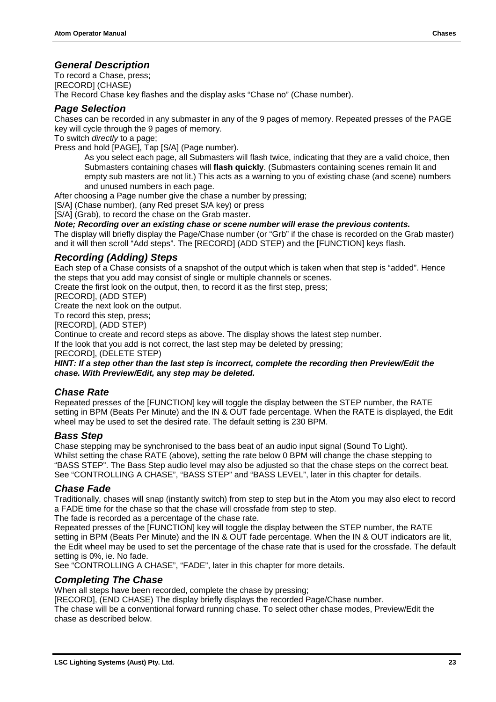#### *General Description*

To record a Chase, press;

[RECORD] (CHASE)

The Record Chase key flashes and the display asks "Chase no" (Chase number).

#### *Page Selection*

Chases can be recorded in any submaster in any of the 9 pages of memory. Repeated presses of the PAGE key will cycle through the 9 pages of memory.

To switch *directly* to a page;

Press and hold [PAGE], Tap [S/A] (Page number).

As you select each page, all Submasters will flash twice, indicating that they are a valid choice, then Submasters containing chases will **flash quickly**. (Submasters containing scenes remain lit and empty sub masters are not lit.) This acts as a warning to you of existing chase (and scene) numbers and unused numbers in each page.

After choosing a Page number give the chase a number by pressing;

[S/A] (Chase number), (any Red preset S/A key) or press

[S/A] (Grab), to record the chase on the Grab master.

*Note; Recording over an existing chase or scene number will erase the previous contents.*

The display will briefly display the Page/Chase number (or "Grb" if the chase is recorded on the Grab master) and it will then scroll "Add steps". The [RECORD] (ADD STEP) and the [FUNCTION] keys flash.

#### *Recording (Adding) Steps*

Each step of a Chase consists of a snapshot of the output which is taken when that step is "added". Hence the steps that you add may consist of single or multiple channels or scenes.

Create the first look on the output, then, to record it as the first step, press;

[RECORD], (ADD STEP)

Create the next look on the output.

To record this step, press;

[RECORD], (ADD STEP)

Continue to create and record steps as above. The display shows the latest step number.

If the look that you add is not correct, the last step may be deleted by pressing;

[RECORD], (DELETE STEP)

*HINT: If a step other than the last step is incorrect, complete the recording then Preview/Edit the chase. With Preview/Edit,* **any** *step may be deleted.*

#### *Chase Rate*

Repeated presses of the [FUNCTION] key will toggle the display between the STEP number, the RATE setting in BPM (Beats Per Minute) and the IN & OUT fade percentage. When the RATE is displayed, the Edit wheel may be used to set the desired rate. The default setting is 230 BPM.

#### *Bass Step*

Chase stepping may be synchronised to the bass beat of an audio input signal (Sound To Light). Whilst setting the chase RATE (above), setting the rate below 0 BPM will change the chase stepping to "BASS STEP". The Bass Step audio level may also be adjusted so that the chase steps on the correct beat. See "CONTROLLING A CHASE", "BASS STEP" and "BASS LEVEL", later in this chapter for details.

#### *Chase Fade*

Traditionally, chases will snap (instantly switch) from step to step but in the Atom you may also elect to record a FADE time for the chase so that the chase will crossfade from step to step.

The fade is recorded as a percentage of the chase rate.

Repeated presses of the [FUNCTION] key will toggle the display between the STEP number, the RATE setting in BPM (Beats Per Minute) and the IN & OUT fade percentage. When the IN & OUT indicators are lit, the Edit wheel may be used to set the percentage of the chase rate that is used for the crossfade. The default setting is 0%, ie. No fade.

See "CONTROLLING A CHASE", "FADE", later in this chapter for more details.

#### *Completing The Chase*

When all steps have been recorded, complete the chase by pressing;

[RECORD], (END CHASE) The display briefly displays the recorded Page/Chase number.

The chase will be a conventional forward running chase. To select other chase modes, Preview/Edit the chase as described below.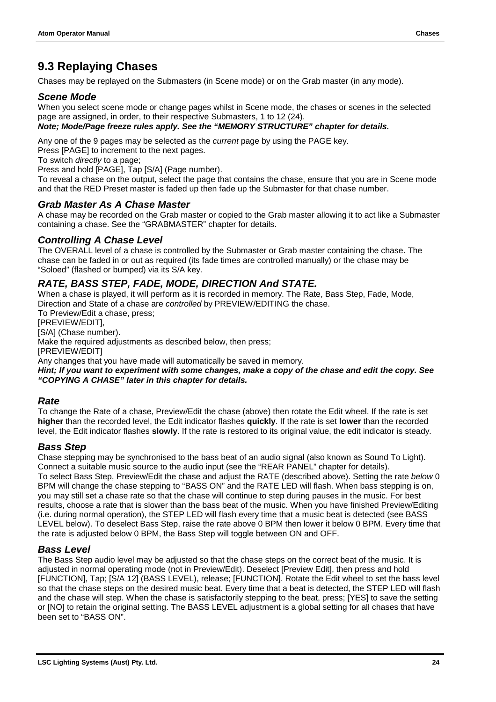### <span id="page-25-0"></span>**9.3 Replaying Chases**

Chases may be replayed on the Submasters (in Scene mode) or on the Grab master (in any mode).

#### *Scene Mode*

When you select scene mode or change pages whilst in Scene mode, the chases or scenes in the selected page are assigned, in order, to their respective Submasters, 1 to 12 (24).

#### *Note; Mode/Page freeze rules apply. See the "MEMORY STRUCTURE" chapter for details.*

Any one of the 9 pages may be selected as the *current* page by using the PAGE key.

Press [PAGE] to increment to the next pages.

To switch *directly* to a page;

Press and hold [PAGE], Tap [S/A] (Page number).

To reveal a chase on the output, select the page that contains the chase, ensure that you are in Scene mode and that the RED Preset master is faded up then fade up the Submaster for that chase number.

#### *Grab Master As A Chase Master*

A chase may be recorded on the Grab master or copied to the Grab master allowing it to act like a Submaster containing a chase. See the "GRABMASTER" chapter for details.

#### *Controlling A Chase Level*

The OVERALL level of a chase is controlled by the Submaster or Grab master containing the chase. The chase can be faded in or out as required (its fade times are controlled manually) or the chase may be "Soloed" (flashed or bumped) via its S/A key.

#### *RATE, BASS STEP, FADE, MODE, DIRECTION And STATE.*

When a chase is played, it will perform as it is recorded in memory. The Rate, Bass Step, Fade, Mode, Direction and State of a chase are *controlled* by PREVIEW/EDITING the chase.

To Preview/Edit a chase, press;

[PREVIEW/EDIT],

[S/A] (Chase number).

Make the required adjustments as described below, then press;

[PREVIEW/EDIT]

Any changes that you have made will automatically be saved in memory.

*Hint; If you want to experiment with some changes, make a copy of the chase and edit the copy. See "COPYING A CHASE" later in this chapter for details.*

#### *Rate*

To change the Rate of a chase, Preview/Edit the chase (above) then rotate the Edit wheel. If the rate is set **higher** than the recorded level, the Edit indicator flashes **quickly**. If the rate is set **lower** than the recorded level, the Edit indicator flashes **slowly**. If the rate is restored to its original value, the edit indicator is steady.

#### *Bass Step*

Chase stepping may be synchronised to the bass beat of an audio signal (also known as Sound To Light). Connect a suitable music source to the audio input (see the "REAR PANEL" chapter for details). To select Bass Step, Preview/Edit the chase and adjust the RATE (described above). Setting the rate *below* 0 BPM will change the chase stepping to "BASS ON" and the RATE LED will flash. When bass stepping is on, you may still set a chase rate so that the chase will continue to step during pauses in the music. For best results, choose a rate that is slower than the bass beat of the music. When you have finished Preview/Editing (i.e. during normal operation), the STEP LED will flash every time that a music beat is detected (see BASS LEVEL below). To deselect Bass Step, raise the rate above 0 BPM then lower it below 0 BPM. Every time that the rate is adjusted below 0 BPM, the Bass Step will toggle between ON and OFF.

#### *Bass Level*

The Bass Step audio level may be adjusted so that the chase steps on the correct beat of the music. It is adjusted in normal operating mode (not in Preview/Edit). Deselect [Preview Edit], then press and hold [FUNCTION], Tap; [S/A 12] (BASS LEVEL), release; [FUNCTION]. Rotate the Edit wheel to set the bass level so that the chase steps on the desired music beat. Every time that a beat is detected, the STEP LED will flash and the chase will step. When the chase is satisfactorily stepping to the beat, press; [YES] to save the setting or [NO] to retain the original setting. The BASS LEVEL adjustment is a global setting for all chases that have been set to "BASS ON".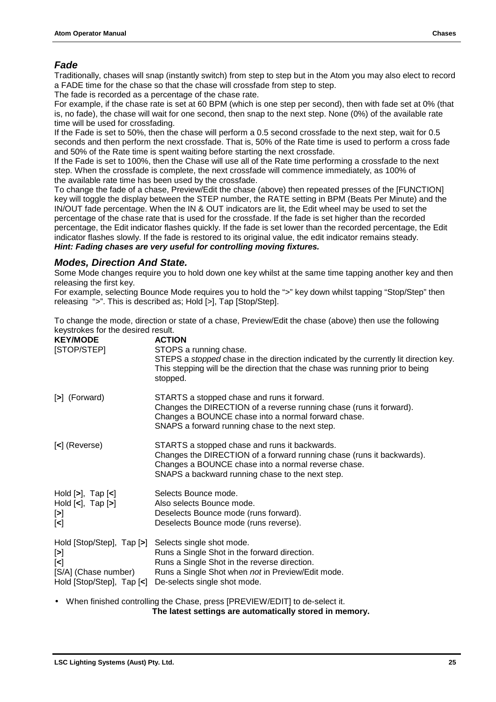#### *Fade*

Traditionally, chases will snap (instantly switch) from step to step but in the Atom you may also elect to record a FADE time for the chase so that the chase will crossfade from step to step.

The fade is recorded as a percentage of the chase rate.

For example, if the chase rate is set at 60 BPM (which is one step per second), then with fade set at 0% (that is, no fade), the chase will wait for one second, then snap to the next step. None (0%) of the available rate time will be used for crossfading.

If the Fade is set to 50%, then the chase will perform a 0.5 second crossfade to the next step, wait for 0.5 seconds and then perform the next crossfade. That is, 50% of the Rate time is used to perform a cross fade and 50% of the Rate time is spent waiting before starting the next crossfade.

If the Fade is set to 100%, then the Chase will use all of the Rate time performing a crossfade to the next step. When the crossfade is complete, the next crossfade will commence immediately, as 100% of the available rate time has been used by the crossfade.

To change the fade of a chase, Preview/Edit the chase (above) then repeated presses of the [FUNCTION] key will toggle the display between the STEP number, the RATE setting in BPM (Beats Per Minute) and the IN/OUT fade percentage. When the IN & OUT indicators are lit, the Edit wheel may be used to set the percentage of the chase rate that is used for the crossfade. If the fade is set higher than the recorded percentage, the Edit indicator flashes quickly. If the fade is set lower than the recorded percentage, the Edit indicator flashes slowly. If the fade is restored to its original value, the edit indicator remains steady. *Hint: Fading chases are very useful for controlling moving fixtures.*

#### *Modes, Direction And State.*

Some Mode changes require you to hold down one key whilst at the same time tapping another key and then releasing the first key.

For example, selecting Bounce Mode requires you to hold the ">" key down whilst tapping "Stop/Step" then releasing ">". This is described as; Hold [>], Tap [Stop/Step].

To change the mode, direction or state of a chase, Preview/Edit the chase (above) then use the following keystrokes for the desired result.

| <b>ACTION</b><br>STOPS a running chase.<br>STEPS a stopped chase in the direction indicated by the currently lit direction key.<br>This stepping will be the direction that the chase was running prior to being<br>stopped.      |
|-----------------------------------------------------------------------------------------------------------------------------------------------------------------------------------------------------------------------------------|
| STARTS a stopped chase and runs it forward.<br>Changes the DIRECTION of a reverse running chase (runs it forward).<br>Changes a BOUNCE chase into a normal forward chase.<br>SNAPS a forward running chase to the next step.      |
| STARTS a stopped chase and runs it backwards.<br>Changes the DIRECTION of a forward running chase (runs it backwards).<br>Changes a BOUNCE chase into a normal reverse chase.<br>SNAPS a backward running chase to the next step. |
| Selects Bounce mode.<br>Also selects Bounce mode.<br>Deselects Bounce mode (runs forward).<br>Deselects Bounce mode (runs reverse).                                                                                               |
| Selects single shot mode.<br>Runs a Single Shot in the forward direction.<br>Runs a Single Shot in the reverse direction.<br>Runs a Single Shot when not in Preview/Edit mode.<br>De-selects single shot mode.                    |
| Hold [Stop/Step], Tap [<]                                                                                                                                                                                                         |

• When finished controlling the Chase, press [PREVIEW/EDIT] to de-select it.  **The latest settings are automatically stored in memory.**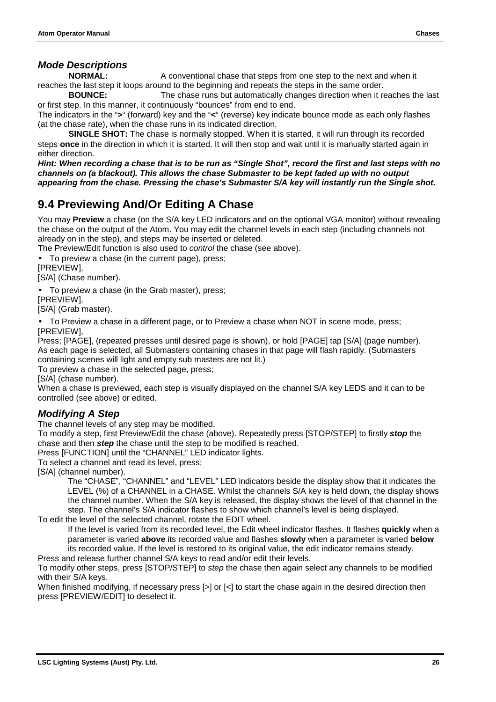#### <span id="page-27-0"></span>*Mode Descriptions*

**NORMAL:** A conventional chase that steps from one step to the next and when it reaches the last step it loops around to the beginning and repeats the steps in the same order.

**BOUNCE:** The chase runs but automatically changes direction when it reaches the last or first step. In this manner, it continuously "bounces" from end to end.

The indicators in the "**>**" (forward) key and the "**<**" (reverse) key indicate bounce mode as each only flashes (at the chase rate), when the chase runs in its indicated direction.

**SINGLE SHOT:** The chase is normally stopped. When it is started, it will run through its recorded steps **once** in the direction in which it is started. It will then stop and wait until it is manually started again in either direction.

*Hint: When recording a chase that is to be run as "Single Shot", record the first and last steps with no channels on (a blackout). This allows the chase Submaster to be kept faded up with no output appearing from the chase. Pressing the chase's Submaster S/A key will instantly run the Single shot.*

### **9.4 Previewing And/Or Editing A Chase**

You may **Preview** a chase (on the S/A key LED indicators and on the optional VGA monitor) without revealing the chase on the output of the Atom. You may edit the channel levels in each step (including channels not already on in the step), and steps may be inserted or deleted.

The Preview/Edit function is also used to *control* the chase (see above).

• To preview a chase (in the current page), press;

[PREVIEW],

[S/A] (Chase number).

• To preview a chase (in the Grab master), press;

[PREVIEW],

[S/A] (Grab master).

• To Preview a chase in a different page, or to Preview a chase when NOT in scene mode, press; [PREVIEW],

Press; [PAGE], (repeated presses until desired page is shown), or hold [PAGE] tap [S/A] (page number). As each page is selected, all Submasters containing chases in that page will flash rapidly. (Submasters containing scenes will light and empty sub masters are not lit.)

To preview a chase in the selected page, press;

[S/A] (chase number).

When a chase is previewed, each step is visually displayed on the channel S/A key LEDS and it can to be controlled (see above) or edited.

#### *Modifying A Step*

The channel levels of any step may be modified.

To modify a step, first Preview/Edit the chase (above). Repeatedly press [STOP/STEP] to firstly *stop* the chase and then *step* the chase until the step to be modified is reached.

Press [FUNCTION] until the "CHANNEL" LED indicator lights.

To select a channel and read its level, press;

[S/A] (channel number).

The "CHASE", "CHANNEL" and "LEVEL" LED indicators beside the display show that it indicates the LEVEL (%) of a CHANNEL in a CHASE. Whilst the channels S/A key is held down, the display shows the channel number. When the S/A key is released, the display shows the level of that channel in the step. The channel's S/A indicator flashes to show which channel's level is being displayed.

To edit the level of the selected channel, rotate the EDIT wheel.

If the level is varied from its recorded level, the Edit wheel indicator flashes. It flashes **quickly** when a parameter is varied **above** its recorded value and flashes **slowly** when a parameter is varied **below** its recorded value. If the level is restored to its original value, the edit indicator remains steady.

Press and release further channel S/A keys to read and/or edit their levels.

To modify other steps, press [STOP/STEP] to *step* the chase then again select any channels to be modified with their S/A keys.

When finished modifying, if necessary press  $\lceil > \rceil$  or  $\lceil < \rceil$  to start the chase again in the desired direction then press [PREVIEW/EDIT] to deselect it.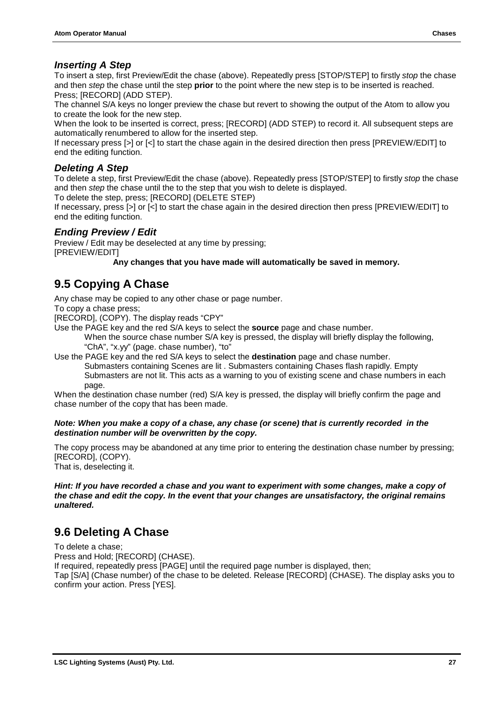#### <span id="page-28-0"></span>*Inserting A Step*

To insert a step, first Preview/Edit the chase (above). Repeatedly press [STOP/STEP] to firstly *stop* the chase and then *step* the chase until the step **prior** to the point where the new step is to be inserted is reached. Press; [RECORD] (ADD STEP).

The channel S/A keys no longer preview the chase but revert to showing the output of the Atom to allow you to create the look for the new step.

When the look to be inserted is correct, press; [RECORD] (ADD STEP) to record it. All subsequent steps are automatically renumbered to allow for the inserted step.

If necessary press [>] or [<] to start the chase again in the desired direction then press [PREVIEW/EDIT] to end the editing function.

#### *Deleting A Step*

To delete a step, first Preview/Edit the chase (above). Repeatedly press [STOP/STEP] to firstly *stop* the chase and then *step* the chase until the to the step that you wish to delete is displayed.

To delete the step, press; [RECORD] (DELETE STEP)

If necessary, press [>] or [<] to start the chase again in the desired direction then press [PREVIEW/EDIT] to end the editing function.

#### *Ending Preview / Edit*

Preview / Edit may be deselected at any time by pressing;

[PREVIEW/EDIT]

**Any changes that you have made will automatically be saved in memory.**

### **9.5 Copying A Chase**

Any chase may be copied to any other chase or page number.

To copy a chase press;

[RECORD], (COPY). The display reads "CPY"

- Use the PAGE key and the red S/A keys to select the **source** page and chase number.
	- When the source chase number S/A key is pressed, the display will briefly display the following, "ChA", "x.yy" (page. chase number), "to"

Use the PAGE key and the red S/A keys to select the **destination** page and chase number. Submasters containing Scenes are lit . Submasters containing Chases flash rapidly. Empty Submasters are not lit. This acts as a warning to you of existing scene and chase numbers in each

page.

When the destination chase number (red) S/A key is pressed, the display will briefly confirm the page and chase number of the copy that has been made.

#### *Note: When you make a copy of a chase, any chase (or scene) that is currently recorded in the destination number will be overwritten by the copy.*

The copy process may be abandoned at any time prior to entering the destination chase number by pressing; [RECORD], (COPY).

That is, deselecting it.

*Hint: If you have recorded a chase and you want to experiment with some changes, make a copy of the chase and edit the copy. In the event that your changes are unsatisfactory, the original remains unaltered.*

### **9.6 Deleting A Chase**

To delete a chase; Press and Hold; [RECORD] (CHASE). If required, repeatedly press [PAGE] until the required page number is displayed, then; Tap [S/A] (Chase number) of the chase to be deleted. Release [RECORD] (CHASE). The display asks you to confirm your action. Press [YES].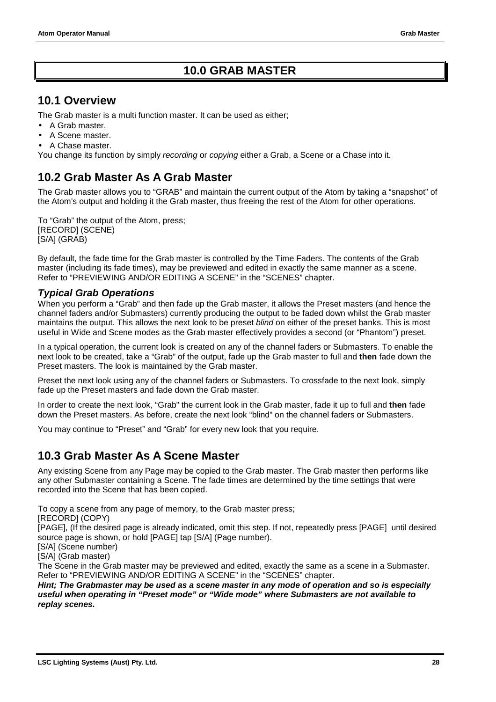### **10.0 GRAB MASTER**

### <span id="page-29-0"></span>**10.1 Overview**

The Grab master is a multi function master. It can be used as either;

- A Grab master.
- A Scene master.
- A Chase master.

You change its function by simply *recording* or *copying* either a Grab, a Scene or a Chase into it.

### **10.2 Grab Master As A Grab Master**

The Grab master allows you to "GRAB" and maintain the current output of the Atom by taking a "snapshot" of the Atom's output and holding it the Grab master, thus freeing the rest of the Atom for other operations.

To "Grab" the output of the Atom, press; [RECORD] (SCENE) [S/A] (GRAB)

By default, the fade time for the Grab master is controlled by the Time Faders. The contents of the Grab master (including its fade times), may be previewed and edited in exactly the same manner as a scene. Refer to "PREVIEWING AND/OR EDITING A SCENE" in the "SCENES" chapter.

#### *Typical Grab Operations*

When you perform a "Grab" and then fade up the Grab master, it allows the Preset masters (and hence the channel faders and/or Submasters) currently producing the output to be faded down whilst the Grab master maintains the output. This allows the next look to be preset *blind* on either of the preset banks. This is most useful in Wide and Scene modes as the Grab master effectively provides a second (or "Phantom") preset.

In a typical operation, the current look is created on any of the channel faders or Submasters. To enable the next look to be created, take a "Grab" of the output, fade up the Grab master to full and **then** fade down the Preset masters. The look is maintained by the Grab master.

Preset the next look using any of the channel faders or Submasters. To crossfade to the next look, simply fade up the Preset masters and fade down the Grab master.

In order to create the next look, "Grab" the current look in the Grab master, fade it up to full and **then** fade down the Preset masters. As before, create the next look "blind" on the channel faders or Submasters.

You may continue to "Preset" and "Grab" for every new look that you require.

### **10.3 Grab Master As A Scene Master**

Any existing Scene from any Page may be copied to the Grab master. The Grab master then performs like any other Submaster containing a Scene. The fade times are determined by the time settings that were recorded into the Scene that has been copied.

To copy a scene from any page of memory, to the Grab master press;

[RECORD] (COPY)

[PAGE], (If the desired page is already indicated, omit this step. If not, repeatedly press [PAGE] until desired source page is shown, or hold [PAGE] tap [S/A] (Page number).

[S/A] (Scene number)

[S/A] (Grab master)

The Scene in the Grab master may be previewed and edited, exactly the same as a scene in a Submaster. Refer to "PREVIEWING AND/OR EDITING A SCENE" in the "SCENES" chapter.

*Hint; The Grabmaster may be used as a scene master in any mode of operation and so is especially useful when operating in "Preset mode" or "Wide mode" where Submasters are not available to replay scenes.*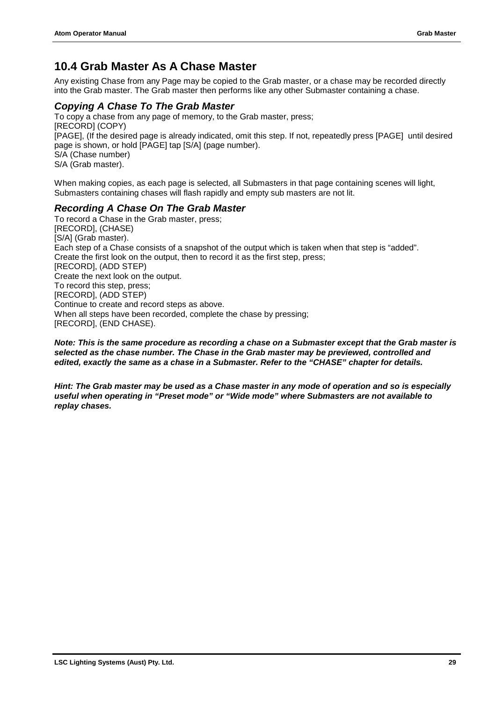### <span id="page-30-0"></span>**10.4 Grab Master As A Chase Master**

Any existing Chase from any Page may be copied to the Grab master, or a chase may be recorded directly into the Grab master. The Grab master then performs like any other Submaster containing a chase.

#### *Copying A Chase To The Grab Master*

To copy a chase from any page of memory, to the Grab master, press; [RECORD] (COPY) [PAGE], (If the desired page is already indicated, omit this step. If not, repeatedly press [PAGE] until desired page is shown, or hold [PAGE] tap [S/A] (page number). S/A (Chase number) S/A (Grab master).

When making copies, as each page is selected, all Submasters in that page containing scenes will light, Submasters containing chases will flash rapidly and empty sub masters are not lit.

#### *Recording A Chase On The Grab Master*

To record a Chase in the Grab master, press; [RECORD], (CHASE) [S/A] (Grab master). Each step of a Chase consists of a snapshot of the output which is taken when that step is "added". Create the first look on the output, then to record it as the first step, press; [RECORD], (ADD STEP) Create the next look on the output. To record this step, press; [RECORD], (ADD STEP) Continue to create and record steps as above. When all steps have been recorded, complete the chase by pressing; [RECORD], (END CHASE).

*Note: This is the same procedure as recording a chase on a Submaster except that the Grab master is selected as the chase number. The Chase in the Grab master may be previewed, controlled and edited, exactly the same as a chase in a Submaster. Refer to the "CHASE" chapter for details.*

*Hint: The Grab master may be used as a Chase master in any mode of operation and so is especially useful when operating in "Preset mode" or "Wide mode" where Submasters are not available to replay chases.*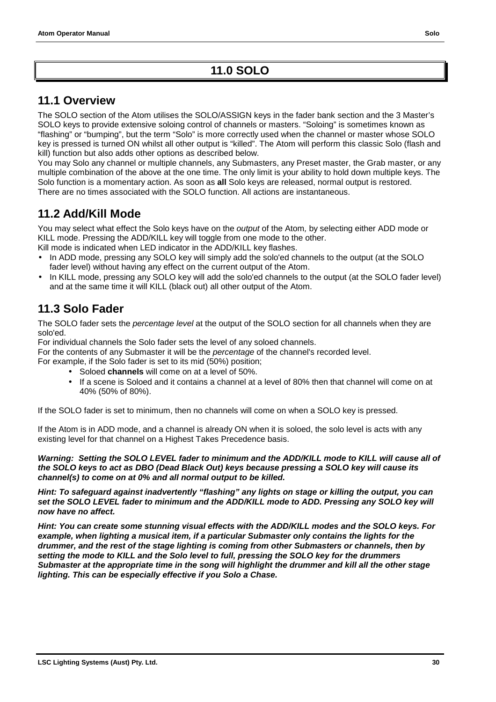### <span id="page-31-0"></span>**11.1 Overview**

The SOLO section of the Atom utilises the SOLO/ASSIGN keys in the fader bank section and the 3 Master's SOLO keys to provide extensive soloing control of channels or masters. "Soloing" is sometimes known as "flashing" or "bumping", but the term "Solo" is more correctly used when the channel or master whose SOLO key is pressed is turned ON whilst all other output is "killed". The Atom will perform this classic Solo (flash and kill) function but also adds other options as described below.

You may Solo any channel or multiple channels, any Submasters, any Preset master, the Grab master, or any multiple combination of the above at the one time. The only limit is your ability to hold down multiple keys. The Solo function is a momentary action. As soon as **all** Solo keys are released, normal output is restored. There are no times associated with the SOLO function. All actions are instantaneous.

### **11.2 Add/Kill Mode**

You may select what effect the Solo keys have on the *output* of the Atom*,* by selecting either ADD mode or KILL mode. Pressing the ADD/KILL key will toggle from one mode to the other.

Kill mode is indicated when LED indicator in the ADD/KILL key flashes.

- In ADD mode, pressing any SOLO key will simply add the solo'ed channels to the output (at the SOLO fader level) without having any effect on the current output of the Atom.
- In KILL mode, pressing any SOLO key will add the solo'ed channels to the output (at the SOLO fader level) and at the same time it will KILL (black out) all other output of the Atom.

### **11.3 Solo Fader**

The SOLO fader sets the *percentage level* at the output of the SOLO section for all channels when they are solo'ed.

For individual channels the Solo fader sets the level of any soloed channels.

For the contents of any Submaster it will be the *percentage* of the channel's recorded level. For example, if the Solo fader is set to its mid (50%) position;

- Soloed **channels** will come on at a level of 50%.
- If a scene is Soloed and it contains a channel at a level of 80% then that channel will come on at 40% (50% of 80%).

If the SOLO fader is set to minimum, then no channels will come on when a SOLO key is pressed.

If the Atom is in ADD mode, and a channel is already ON when it is soloed, the solo level is acts with any existing level for that channel on a Highest Takes Precedence basis.

*Warning: Setting the SOLO LEVEL fader to minimum and the ADD/KILL mode to KILL will cause all of the SOLO keys to act as DBO (Dead Black Out) keys because pressing a SOLO key will cause its channel(s) to come on at 0% and all normal output to be killed.*

*Hint: To safeguard against inadvertently "flashing" any lights on stage or killing the output, you can set the SOLO LEVEL fader to minimum and the ADD/KILL mode to ADD. Pressing any SOLO key will now have no affect.*

*Hint: You can create some stunning visual effects with the ADD/KILL modes and the SOLO keys. For example, when lighting a musical item, if a particular Submaster only contains the lights for the drummer, and the rest of the stage lighting is coming from other Submasters or channels, then by setting the mode to KILL and the Solo level to full, pressing the SOLO key for the drummers Submaster at the appropriate time in the song will highlight the drummer and kill all the other stage lighting. This can be especially effective if you Solo a Chase.*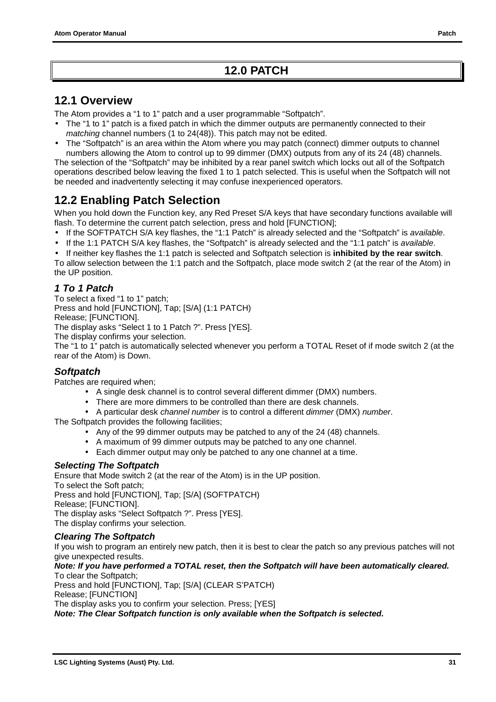### **12.0 PATCH**

#### <span id="page-32-0"></span>**12.1 Overview**

The Atom provides a "1 to 1" patch and a user programmable "Softpatch".

- The "1 to 1" patch is a fixed patch in which the dimmer outputs are permanently connected to their *matching* channel numbers (1 to 24(48)). This patch may not be edited.
- The "Softpatch" is an area within the Atom where you may patch (connect) dimmer outputs to channel numbers allowing the Atom to control up to 99 dimmer (DMX) outputs from any of its 24 (48) channels.

The selection of the "Softpatch" may be inhibited by a rear panel switch which locks out all of the Softpatch operations described below leaving the fixed 1 to 1 patch selected. This is useful when the Softpatch will not be needed and inadvertently selecting it may confuse inexperienced operators.

### **12.2 Enabling Patch Selection**

When you hold down the Function key, any Red Preset S/A keys that have secondary functions available will flash. To determine the current patch selection, press and hold [FUNCTION];

- If the SOFTPATCH S/A key flashes, the "1:1 Patch" is already selected and the "Softpatch" is *available*.
- If the 1:1 PATCH S/A key flashes, the "Softpatch" is already selected and the "1:1 patch" is *available*.

• If neither key flashes the 1:1 patch is selected and Softpatch selection is **inhibited by the rear switch**.

To allow selection between the 1:1 patch and the Softpatch, place mode switch 2 (at the rear of the Atom) in the UP position.

#### *1 To 1 Patch*

To select a fixed "1 to 1" patch; Press and hold [FUNCTION], Tap; [S/A] (1:1 PATCH) Release; [FUNCTION]. The display asks "Select 1 to 1 Patch ?". Press [YES]. The display confirms your selection.

The "1 to 1" patch is automatically selected whenever you perform a TOTAL Reset of if mode switch 2 (at the rear of the Atom) is Down.

#### *Softpatch*

Patches are required when;

- A single desk channel is to control several different dimmer (DMX) numbers.
- There are more dimmers to be controlled than there are desk channels.
- A particular desk *channel number* is to control a different *dimmer* (DMX) *number*.

The Softpatch provides the following facilities;

- Any of the 99 dimmer outputs may be patched to any of the 24 (48) channels.
- A maximum of 99 dimmer outputs may be patched to any one channel.
- Each dimmer output may only be patched to any one channel at a time.

#### *Selecting The Softpatch*

Ensure that Mode switch 2 (at the rear of the Atom) is in the UP position. To select the Soft patch; Press and hold [FUNCTION], Tap; [S/A] (SOFTPATCH) Release; [FUNCTION].

The display asks "Select Softpatch ?". Press [YES].

The display confirms your selection.

#### *Clearing The Softpatch*

If you wish to program an entirely new patch, then it is best to clear the patch so any previous patches will not give unexpected results.

*Note: If you have performed a TOTAL reset, then the Softpatch will have been automatically cleared.* To clear the Softpatch;

Press and hold [FUNCTION], Tap; [S/A] (CLEAR S'PATCH) Release; [FUNCTION]

The display asks you to confirm your selection. Press; [YES]

*Note: The Clear Softpatch function is only available when the Softpatch is selected.*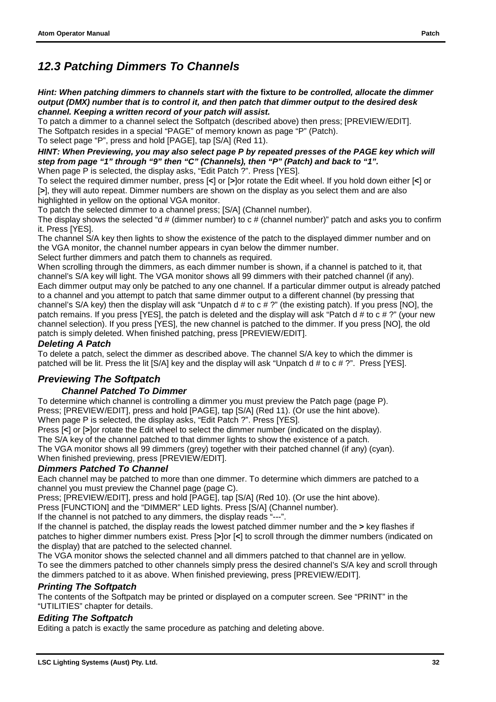### *12.3 Patching Dimmers To Channels*

*Hint: When patching dimmers to channels start with the* **fixture** *to be controlled, allocate the dimmer output (DMX) number that is to control it, and then patch that dimmer output to the desired desk channel. Keeping a written record of your patch will assist.*

To patch a dimmer to a channel select the Softpatch (described above) then press; [PREVIEW/EDIT]. The Softpatch resides in a special "PAGE" of memory known as page "P" (Patch). To select page "P", press and hold [PAGE], tap [S/A] (Red 11).

*HINT: When Previewing, you may also select page P by repeated presses of the PAGE key which will step from page "1" through "9" then "C" (Channels), then "P" (Patch) and back to "1".* When page P is selected, the display asks, "Edit Patch ?", Press [YES].

To select the required dimmer number, press [**<**] or [**>**]or rotate the Edit wheel. If you hold down either [**<**] or [**>**], they will auto repeat. Dimmer numbers are shown on the display as you select them and are also highlighted in yellow on the optional VGA monitor.

To patch the selected dimmer to a channel press; [S/A] (Channel number).

The display shows the selected "d # (dimmer number) to c # (channel number)" patch and asks you to confirm it. Press [YES].

The channel S/A key then lights to show the existence of the patch to the displayed dimmer number and on the VGA monitor, the channel number appears in cyan below the dimmer number.

Select further dimmers and patch them to channels as required.

When scrolling through the dimmers, as each dimmer number is shown, if a channel is patched to it, that channel's S/A key will light. The VGA monitor shows all 99 dimmers with their patched channel (if any). Each dimmer output may only be patched to any one channel. If a particular dimmer output is already patched to a channel and you attempt to patch that same dimmer output to a different channel (by pressing that channel's S/A key) then the display will ask "Unpatch d # to c # ?" (the existing patch). If you press [NO], the patch remains. If you press [YES], the patch is deleted and the display will ask "Patch d # to c # ?" (your new channel selection). If you press [YES], the new channel is patched to the dimmer. If you press [NO], the old patch is simply deleted. When finished patching, press [PREVIEW/EDIT].

#### *Deleting A Patch*

To delete a patch, select the dimmer as described above. The channel S/A key to which the dimmer is patched will be lit. Press the lit [S/A] key and the display will ask "Unpatch d # to c # ?". Press [YES].

#### *Previewing The Softpatch*

#### *Channel Patched To Dimmer*

To determine which channel is controlling a dimmer you must preview the Patch page (page P). Press; [PREVIEW/EDIT], press and hold [PAGE], tap [S/A] (Red 11). (Or use the hint above). When page P is selected, the display asks, "Edit Patch ?". Press [YES].

Press [**<**] or [**>**]or rotate the Edit wheel to select the dimmer number (indicated on the display).

The S/A key of the channel patched to that dimmer lights to show the existence of a patch.

The VGA monitor shows all 99 dimmers (grey) together with their patched channel (if any) (cyan). When finished previewing, press [PREVIEW/EDIT].

#### *Dimmers Patched To Channel*

Each channel may be patched to more than one dimmer. To determine which dimmers are patched to a channel you must preview the Channel page (page C).

Press; [PREVIEW/EDIT], press and hold [PAGE], tap [S/A] (Red 10). (Or use the hint above).

Press [FUNCTION] and the "DIMMER" LED lights. Press [S/A] (Channel number).

If the channel is not patched to any dimmers, the display reads "---".

If the channel is patched, the display reads the lowest patched dimmer number and the **>** key flashes if patches to higher dimmer numbers exist. Press [**>**]or [**<**] to scroll through the dimmer numbers (indicated on the display) that are patched to the selected channel.

The VGA monitor shows the selected channel and all dimmers patched to that channel are in yellow. To see the dimmers patched to other channels simply press the desired channel's S/A key and scroll through the dimmers patched to it as above. When finished previewing, press [PREVIEW/EDIT].

#### *Printing The Softpatch*

The contents of the Softpatch may be printed or displayed on a computer screen. See "PRINT" in the "UTILITIES" chapter for details.

#### *Editing The Softpatch*

Editing a patch is exactly the same procedure as patching and deleting above.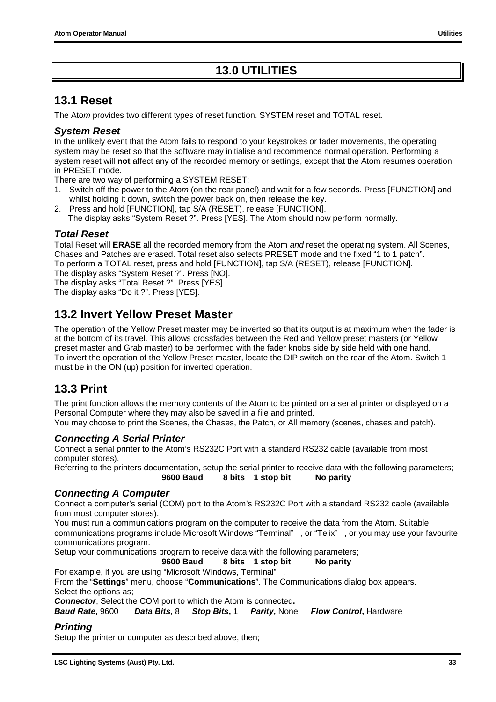### **13.0 UTILITIES**

### <span id="page-34-0"></span>**13.1 Reset**

The Ato*m* provides two different types of reset function. SYSTEM reset and TOTAL reset.

#### *System Reset*

In the unlikely event that the Atom fails to respond to your keystrokes or fader movements, the operating system may be reset so that the software may initialise and recommence normal operation. Performing a system reset will **not** affect any of the recorded memory or settings, except that the Atom resumes operation in PRESET mode.

There are two way of performing a SYSTEM RESET;

- 1. Switch off the power to the Ato*m* (on the rear panel) and wait for a few seconds. Press [FUNCTION] and whilst holding it down, switch the power back on, then release the key.
- 2. Press and hold [FUNCTION], tap S/A (RESET), release [FUNCTION]. The display asks "System Reset ?". Press [YES]. The Atom should now perform normally.

#### *Total Reset*

Total Reset will **ERASE** all the recorded memory from the Atom *and* reset the operating system. All Scenes, Chases and Patches are erased. Total reset also selects PRESET mode and the fixed "1 to 1 patch". To perform a TOTAL reset, press and hold [FUNCTION], tap S/A (RESET), release [FUNCTION]. The display asks "System Reset ?". Press [NO].

The display asks "Total Reset ?". Press [YES].

The display asks "Do it ?". Press [YES].

### **13.2 Invert Yellow Preset Master**

The operation of the Yellow Preset master may be inverted so that its output is at maximum when the fader is at the bottom of its travel. This allows crossfades between the Red and Yellow preset masters (or Yellow preset master and Grab master) to be performed with the fader knobs side by side held with one hand. To invert the operation of the Yellow Preset master, locate the DIP switch on the rear of the Atom. Switch 1 must be in the ON (up) position for inverted operation.

### **13.3 Print**

The print function allows the memory contents of the Atom to be printed on a serial printer or displayed on a Personal Computer where they may also be saved in a file and printed.

You may choose to print the Scenes, the Chases, the Patch, or All memory (scenes, chases and patch).

#### *Connecting A Serial Printer*

Connect a serial printer to the Atom's RS232C Port with a standard RS232 cable (available from most computer stores).

Referring to the printers documentation, setup the serial printer to receive data with the following parameters; **9600 Baud 8 bits 1 stop bit No parity**

#### *Connecting A Computer*

Connect a computer's serial (COM) port to the Atom's RS232C Port with a standard RS232 cable (available from most computer stores).

You must run a communications program on the computer to receive the data from the Atom. Suitable communications programs include Microsoft Windows "Terminal" , or "Telix" , or you may use your favourite communications program.

Setup your communications program to receive data with the following parameters;

#### **9600 Baud 8 bits 1 stop bit No parity**

For example, if you are using "Microsoft Windows, Terminal" .

From the "**Settings**" menu, choose "**Communications**". The Communications dialog box appears. Select the options as;

*Connector*, Select the COM port to which the Atom is connected**.**

*Baud Rate***,** 9600 *Data Bits***,** 8 *Stop Bits***,** 1 *Parity***,** None *Flow Control***,** Hardware

#### *Printing*

Setup the printer or computer as described above, then;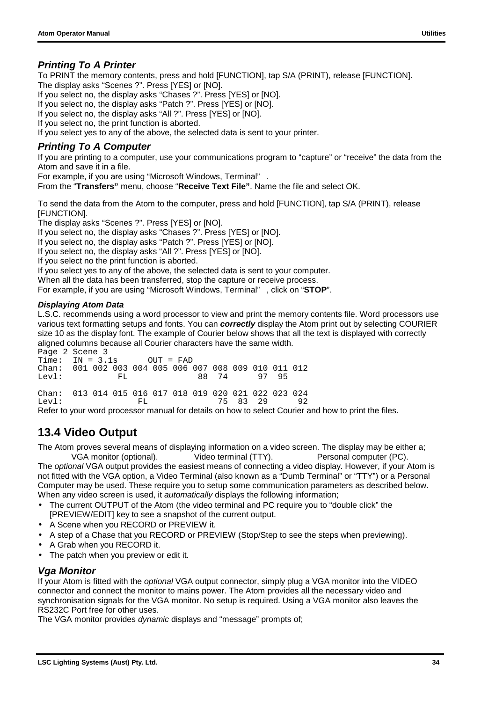<span id="page-35-0"></span>To PRINT the memory contents, press and hold [FUNCTION], tap S/A (PRINT), release [FUNCTION]. The display asks "Scenes ?". Press [YES] or [NO].

If you select no, the display asks "Chases ?". Press [YES] or [NO].

If you select no, the display asks "Patch ?". Press [YES] or [NO].

If you select no, the display asks "All ?". Press [YES] or [NO].

If you select no, the print function is aborted.

If you select yes to any of the above, the selected data is sent to your printer.

#### *Printing To A Computer*

If you are printing to a computer, use your communications program to "capture" or "receive" the data from the Atom and save it in a file.

For example, if you are using "Microsoft Windows, Terminal" .

From the "**Transfers"** menu, choose "**Receive Text File"**. Name the file and select OK.

To send the data from the Atom to the computer, press and hold [FUNCTION], tap S/A (PRINT), release [FUNCTION].

The display asks "Scenes ?". Press [YES] or [NO].

If you select no, the display asks "Chases ?". Press [YES] or [NO].

If you select no, the display asks "Patch ?". Press [YES] or [NO].

If you select no, the display asks "All ?". Press [YES] or [NO].

If you select no the print function is aborted.

If you select yes to any of the above, the selected data is sent to your computer.

When all the data has been transferred, stop the capture or receive process.

For example, if you are using "Microsoft Windows, Terminal" , click on "**STOP**".

#### *Displaying Atom Data*

L.S.C. recommends using a word processor to view and print the memory contents file. Word processors use various text formatting setups and fonts. You can *correctly* display the Atom print out by selecting COURIER size 10 as the display font. The example of Courier below shows that all the text is displayed with correctly aligned columns because all Courier characters have the same width.

Page 2 Scene 3<br>Time: IN = 3.  $IN = 3.1s$  OUT = FAD Chan: 001 002 003 004 005 006 007 008 009 010 011 012 Levl: FL FL 88 74 97 95 Chan: 013 014 015 016 017 018 019 020 021 022 023 024 Levl: FL 75 83 29 92

Refer to your word processor manual for details on how to select Courier and how to print the files.

### **13.4 Video Output**

The Atom proves several means of displaying information on a video screen. The display may be either a;

VGA monitor (optional). Video terminal (TTY). Personal computer (PC). The *optional* VGA output provides the easiest means of connecting a video display. However, if your Atom is not fitted with the VGA option, a Video Terminal (also known as a "Dumb Terminal" or "TTY") or a Personal Computer may be used. These require you to setup some communication parameters as described below. When any video screen is used, it *automatically* displays the following information;

- The current OUTPUT of the Atom (the video terminal and PC require you to "double click" the [PREVIEW/EDIT] key to see a snapshot of the current output.
- A Scene when you RECORD or PREVIEW it.
- A step of a Chase that you RECORD or PREVIEW (Stop/Step to see the steps when previewing).
- A Grab when you RECORD it.
- The patch when you preview or edit it.

#### *Vga Monitor*

If your Atom is fitted with the *optional* VGA output connector, simply plug a VGA monitor into the VIDEO connector and connect the monitor to mains power. The Atom provides all the necessary video and synchronisation signals for the VGA monitor. No setup is required. Using a VGA monitor also leaves the RS232C Port free for other uses.

The VGA monitor provides *dynamic* displays and "message" prompts of;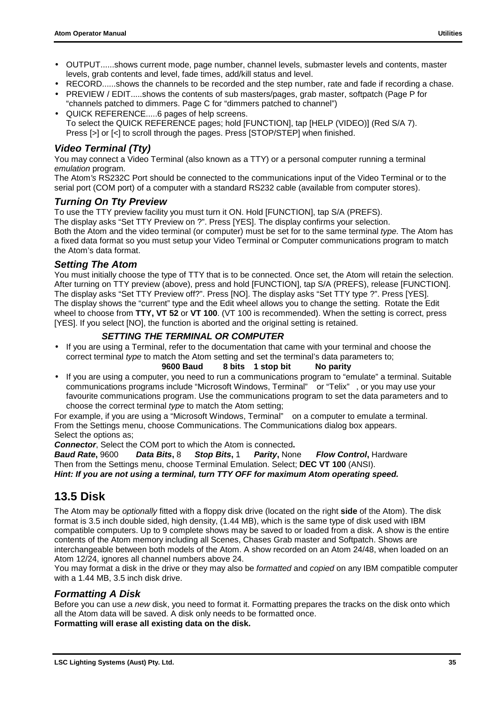- <span id="page-36-0"></span>• OUTPUT......shows current mode, page number, channel levels, submaster levels and contents, master levels, grab contents and level, fade times, add/kill status and level.
- RECORD......shows the channels to be recorded and the step number, rate and fade if recording a chase.
- PREVIEW / EDIT.....shows the contents of sub masters/pages, grab master, softpatch (Page P for
- "channels patched to dimmers. Page C for "dimmers patched to channel") • QUICK REFERENCE.....6 pages of help screens. To select the QUICK REFERENCE pages; hold [FUNCTION], tap [HELP (VIDEO)] (Red S/A 7). Press [>] or [<] to scroll through the pages. Press [STOP/STEP] when finished.

#### *Video Terminal (Tty)*

You may connect a Video Terminal (also known as a TTY) or a personal computer running a terminal *emulation* program*.*

The Atom*'s* RS232C Port should be connected to the communications input of the Video Terminal or to the serial port (COM port) of a computer with a standard RS232 cable (available from computer stores).

#### *Turning On Tty Preview*

To use the TTY preview facility you must turn it ON. Hold [FUNCTION], tap S/A (PREFS). The display asks "Set TTY Preview on ?". Press [YES]. The display confirms your selection.

Both the Atom and the video terminal (or computer) must be set for to the same terminal *type.* The Atom has a fixed data format so you must setup your Video Terminal or Computer communications program to match the Atom's data format.

#### *Setting The Atom*

You must initially choose the type of TTY that is to be connected. Once set, the Atom will retain the selection. After turning on TTY preview (above), press and hold [FUNCTION], tap S/A (PREFS), release [FUNCTION]. The display asks "Set TTY Preview off?". Press [NO]. The display asks "Set TTY type ?". Press [YES]. The display shows the "current" type and the Edit wheel allows you to change the setting. Rotate the Edit wheel to choose from **TTY, VT 52** or **VT 100**. (VT 100 is recommended). When the setting is correct, press [YES]. If you select [NO], the function is aborted and the original setting is retained.

#### *SETTING THE TERMINAL OR COMPUTER*

• If you are using a Terminal, refer to the documentation that came with your terminal and choose the correct terminal *type* to match the Atom setting and set the terminal's data parameters to;

**9600 Baud 8 bits 1 stop bit No parity**

• If you are using a computer, you need to run a communications program to "emulate" a terminal. Suitable communications programs include "Microsoft Windows, Terminal" or "Telix" , or you may use your favourite communications program. Use the communications program to set the data parameters and to choose the correct terminal *type* to match the Atom setting;

For example, if you are using a "Microsoft Windows, Terminal" on a computer to emulate a terminal. From the Settings menu, choose Communications. The Communications dialog box appears. Select the options as;

*Connector*, Select the COM port to which the Atom is connected**.**

*Baud Rate***,** 9600 *Data Bits***,** 8 *Stop Bits***,** 1 *Parity***,** None *Flow Control***,** Hardware Then from the Settings menu, choose Terminal Emulation. Select; **DEC VT 100** (ANSI). *Hint: If you are not using a terminal, turn TTY OFF for maximum Atom operating speed.*

### **13.5 Disk**

The Atom may be *optionally* fitted with a floppy disk drive (located on the right **side** of the Atom). The disk format is 3.5 inch double sided, high density, (1.44 MB), which is the same type of disk used with IBM compatible computers. Up to 9 complete shows may be saved to or loaded from a disk. A show is the entire contents of the Atom memory including all Scenes, Chases Grab master and Softpatch. Shows are interchangeable between both models of the Atom. A show recorded on an Atom 24/48, when loaded on an Atom 12/24, ignores all channel numbers above 24.

You may format a disk in the drive or they may also be *formatted* and *copied* on any IBM compatible computer with a 1.44 MB, 3.5 inch disk drive.

#### *Formatting A Disk*

Before you can use a *new* disk, you need to format it. Formatting prepares the tracks on the disk onto which all the Atom data will be saved. A disk only needs to be formatted once. **Formatting will erase all existing data on the disk.**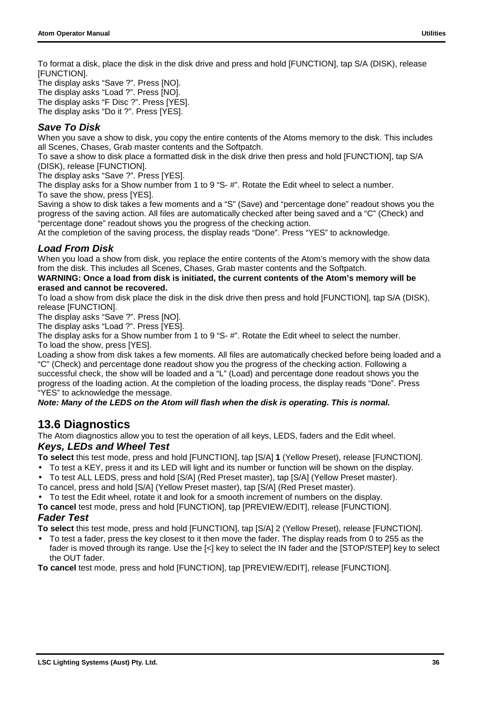<span id="page-37-0"></span>To format a disk, place the disk in the disk drive and press and hold [FUNCTION], tap S/A (DISK), release [FUNCTION].

The display asks "Save ?". Press [NO]. The display asks "Load ?". Press [NO]. The display asks "F Disc ?". Press [YES]. The display asks "Do it ?". Press [YES].

#### *Save To Disk*

When you save a show to disk, you copy the entire contents of the Atoms memory to the disk. This includes all Scenes, Chases, Grab master contents and the Softpatch.

To save a show to disk place a formatted disk in the disk drive then press and hold [FUNCTION], tap S/A (DISK), release [FUNCTION].

The display asks "Save ?". Press [YES].

The display asks for a Show number from 1 to 9 "S- #". Rotate the Edit wheel to select a number. To save the show, press [YES].

Saving a show to disk takes a few moments and a "S" (Save) and "percentage done" readout shows you the progress of the saving action. All files are automatically checked after being saved and a "C" (Check) and "percentage done" readout shows you the progress of the checking action.

At the completion of the saving process, the display reads "Done". Press "YES" to acknowledge.

#### *Load From Disk*

When you load a show from disk, you replace the entire contents of the Atom's memory with the show data from the disk. This includes all Scenes, Chases, Grab master contents and the Softpatch.

#### **WARNING: Once a load from disk is initiated, the current contents of the Atom's memory will be erased and cannot be recovered.**

To load a show from disk place the disk in the disk drive then press and hold [FUNCTION], tap S/A (DISK), release [FUNCTION].

The display asks "Save ?". Press [NO].

The display asks "Load ?". Press [YES].

The display asks for a Show number from 1 to 9 "S- #". Rotate the Edit wheel to select the number. To load the show, press [YES].

Loading a show from disk takes a few moments. All files are automatically checked before being loaded and a "C" (Check) and percentage done readout show you the progress of the checking action. Following a successful check, the show will be loaded and a "L" (Load) and percentage done readout shows you the progress of the loading action. At the completion of the loading process, the display reads "Done". Press "YES" to acknowledge the message.

#### *Note: Many of the LEDS on the Atom will flash when the disk is operating. This is normal.*

#### **13.6 Diagnostics**

The Atom diagnostics allow you to test the operation of all keys, LEDS, faders and the Edit wheel. *Keys, LEDs and Wheel Test*

**To select** this test mode, press and hold [FUNCTION], tap [S/A] **1** (Yellow Preset), release [FUNCTION].

- To test a KEY, press it and its LED will light and its number or function will be shown on the display.
- To test ALL LEDS, press and hold [S/A] (Red Preset master), tap [S/A] (Yellow Preset master).
- To cancel, press and hold [S/A] (Yellow Preset master), tap [S/A] (Red Preset master).
- To test the Edit wheel, rotate it and look for a smooth increment of numbers on the display.
- **To cancel** test mode, press and hold [FUNCTION], tap [PREVIEW/EDIT], release [FUNCTION]. *Fader Test*

**To select** this test mode, press and hold [FUNCTION], tap [S/A] 2 (Yellow Preset), release [FUNCTION].

- To test a fader, press the key closest to it then move the fader. The display reads from 0 to 255 as the fader is moved through its range. Use the [<] key to select the IN fader and the [STOP/STEP] key to select the OUT fader.
- **To cancel** test mode, press and hold [FUNCTION], tap [PREVIEW/EDIT], release [FUNCTION].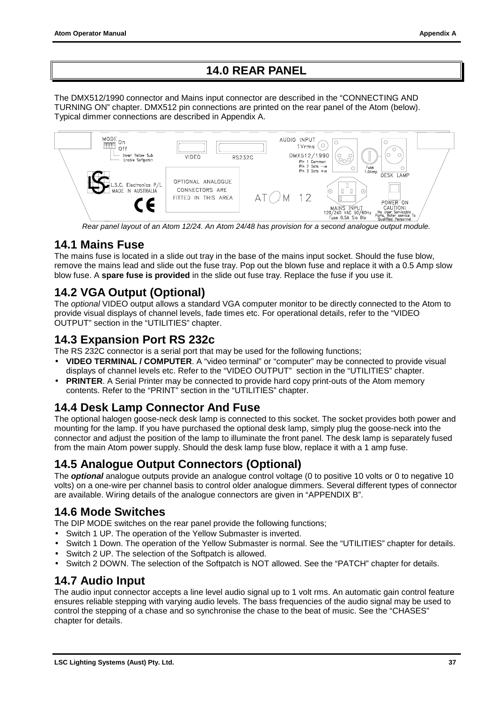### **14.0 REAR PANEL**

<span id="page-38-0"></span>The DMX512/1990 connector and Mains input connector are described in the "CONNECTING AND TURNING ON" chapter. DMX512 pin connections are printed on the rear panel of the Atom (below). Typical dimmer connections are described in Appendix A.



*Rear panel layout of an Atom 12/24. An Atom 24/48 has provision for a second analogue output module.*

### **14.1 Mains Fuse**

The mains fuse is located in a slide out tray in the base of the mains input socket. Should the fuse blow, remove the mains lead and slide out the fuse tray. Pop out the blown fuse and replace it with a 0.5 Amp slow blow fuse. A **spare fuse is provided** in the slide out fuse tray. Replace the fuse if you use it.

### **14.2 VGA Output (Optional)**

The *optional* VIDEO output allows a standard VGA computer monitor to be directly connected to the Atom to provide visual displays of channel levels, fade times etc. For operational details, refer to the "VIDEO OUTPUT" section in the "UTILITIES" chapter.

### **14.3 Expansion Port RS 232c**

The RS 232C connector is a serial port that may be used for the following functions;

- **VIDEO TERMINAL / COMPUTER**. A "video terminal" or "computer" may be connected to provide visual displays of channel levels etc. Refer to the "VIDEO OUTPUT" section in the "UTILITIES" chapter.
- **PRINTER**. A Serial Printer may be connected to provide hard copy print-outs of the Atom memory contents. Refer to the "PRINT" section in the "UTILITIES" chapter.

### **14.4 Desk Lamp Connector And Fuse**

The optional halogen goose-neck desk lamp is connected to this socket. The socket provides both power and mounting for the lamp. If you have purchased the optional desk lamp, simply plug the goose-neck into the connector and adjust the position of the lamp to illuminate the front panel. The desk lamp is separately fused from the main Atom power supply. Should the desk lamp fuse blow, replace it with a 1 amp fuse.

### **14.5 Analogue Output Connectors (Optional)**

The *optional* analogue outputs provide an analogue control voltage (0 to positive 10 volts or 0 to negative 10 volts) on a one-wire per channel basis to control older analogue dimmers. Several different types of connector are available. Wiring details of the analogue connectors are given in "APPENDIX B".

### **14.6 Mode Switches**

The DIP MODE switches on the rear panel provide the following functions;

- Switch 1 UP. The operation of the Yellow Submaster is inverted.
- Switch 1 Down. The operation of the Yellow Submaster is normal. See the "UTILITIES" chapter for details.
- Switch 2 UP. The selection of the Softpatch is allowed.
- Switch 2 DOWN. The selection of the Softpatch is NOT allowed. See the "PATCH" chapter for details.

### **14.7 Audio Input**

The audio input connector accepts a line level audio signal up to 1 volt rms. An automatic gain control feature ensures reliable stepping with varying audio levels. The bass frequencies of the audio signal may be used to control the stepping of a chase and so synchronise the chase to the beat of music. See the "CHASES" chapter for details.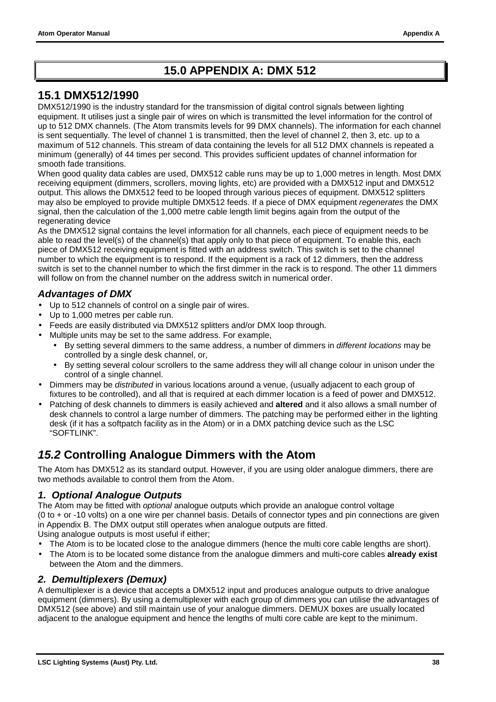### **15.0 APPENDIX A: DMX 512**

### <span id="page-39-0"></span>**15.1 DMX512/1990**

DMX512/1990 is the industry standard for the transmission of digital control signals between lighting equipment. It utilises just a single pair of wires on which is transmitted the level information for the control of up to 512 DMX channels. (The Atom transmits levels for 99 DMX channels). The information for each channel is sent sequentially. The level of channel 1 is transmitted, then the level of channel 2, then 3, etc. up to a maximum of 512 channels. This stream of data containing the levels for all 512 DMX channels is repeated a minimum (generally) of 44 times per second. This provides sufficient updates of channel information for smooth fade transitions.

When good quality data cables are used. DMX512 cable runs may be up to 1,000 metres in length. Most DMX receiving equipment (dimmers, scrollers, moving lights, etc) are provided with a DMX512 input and DMX512 output. This allows the DMX512 feed to be looped through various pieces of equipment. DMX512 splitters may also be employed to provide multiple DMX512 feeds. If a piece of DMX equipment *regenerates* the DMX signal, then the calculation of the 1,000 metre cable length limit begins again from the output of the regenerating device

As the DMX512 signal contains the level information for all channels, each piece of equipment needs to be able to read the level(s) of the channel(s) that apply only to that piece of equipment. To enable this, each piece of DMX512 receiving equipment is fitted with an address switch. This switch is set to the channel number to which the equipment is to respond. If the equipment is a rack of 12 dimmers, then the address switch is set to the channel number to which the first dimmer in the rack is to respond. The other 11 dimmers will follow on from the channel number on the address switch in numerical order.

#### *Advantages of DMX*

- Up to 512 channels of control on a single pair of wires.
- Up to 1,000 metres per cable run.
- Feeds are easily distributed via DMX512 splitters and/or DMX loop through.
- Multiple units may be set to the same address. For example,
	- By setting several dimmers to the same address, a number of dimmers in *different locations* may be controlled by a single desk channel, or,
	- By setting several colour scrollers to the same address they will all change colour in unison under the control of a single channel.
- Dimmers may be *distributed* in various locations around a venue, (usually adjacent to each group of fixtures to be controlled), and all that is required at each dimmer location is a feed of power and DMX512.
- Patching of desk channels to dimmers is easily achieved and **altered** and it also allows a small number of desk channels to control a large number of dimmers. The patching may be performed either in the lighting desk (if it has a softpatch facility as in the Atom) or in a DMX patching device such as the LSC "SOFTLINK".

### *15.2* **Controlling Analogue Dimmers with the Atom**

The Atom has DMX512 as its standard output. However, if you are using older analogue dimmers, there are two methods available to control them from the Atom.

#### *1. Optional Analogue Outputs*

The Atom may be fitted with *optional* analogue outputs which provide an analogue control voltage (0 to + or -10 volts) on a one wire per channel basis. Details of connector types and pin connections are given in Appendix B. The DMX output still operates when analogue outputs are fitted. Using analogue outputs is most useful if either;

- The Atom is to be located close to the analogue dimmers (hence the multi core cable lengths are short).
- The Atom is to be located some distance from the analogue dimmers and multi-core cables **already exist** between the Atom and the dimmers.

#### *2. Demultiplexers (Demux)*

A demultiplexer is a device that accepts a DMX512 input and produces analogue outputs to drive analogue equipment (dimmers). By using a demultiplexer with each group of dimmers you can utilise the advantages of DMX512 (see above) and still maintain use of your analogue dimmers. DEMUX boxes are usually located adjacent to the analogue equipment and hence the lengths of multi core cable are kept to the minimum.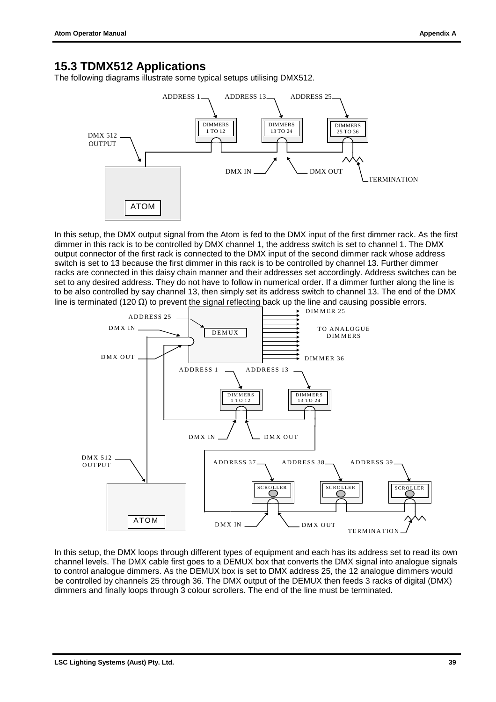### <span id="page-40-0"></span>**15.3 TDMX512 Applications**

The following diagrams illustrate some typical setups utilising DMX512.



In this setup, the DMX output signal from the Atom is fed to the DMX input of the first dimmer rack. As the first dimmer in this rack is to be controlled by DMX channel 1, the address switch is set to channel 1. The DMX output connector of the first rack is connected to the DMX input of the second dimmer rack whose address switch is set to 13 because the first dimmer in this rack is to be controlled by channel 13. Further dimmer racks are connected in this daisy chain manner and their addresses set accordingly. Address switches can be set to any desired address. They do not have to follow in numerical order. If a dimmer further along the line is to be also controlled by say channel 13, then simply set its address switch to channel 13. The end of the DMX line is terminated (120 Ω) to prevent the signal reflecting back up the line and causing possible errors.



In this setup, the DMX loops through different types of equipment and each has its address set to read its own channel levels. The DMX cable first goes to a DEMUX box that converts the DMX signal into analogue signals to control analogue dimmers. As the DEMUX box is set to DMX address 25, the 12 analogue dimmers would be controlled by channels 25 through 36. The DMX output of the DEMUX then feeds 3 racks of digital (DMX) dimmers and finally loops through 3 colour scrollers. The end of the line must be terminated.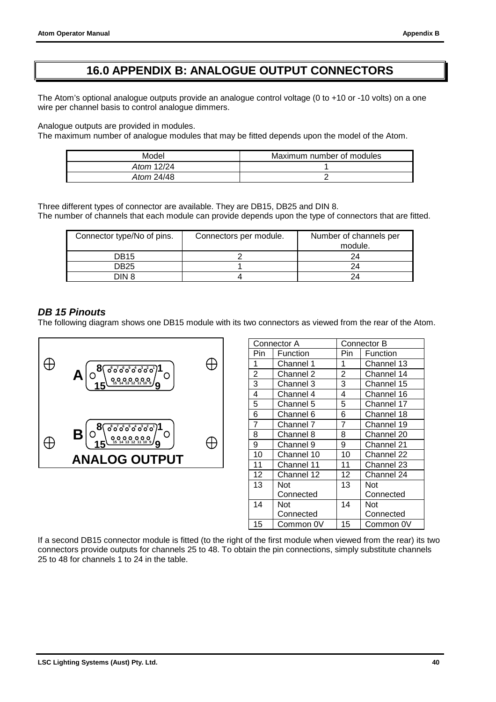### **16.0 APPENDIX B: ANALOGUE OUTPUT CONNECTORS**

<span id="page-41-0"></span>The Atom's optional analogue outputs provide an analogue control voltage (0 to +10 or -10 volts) on a one wire per channel basis to control analogue dimmers.

Analogue outputs are provided in modules.

The maximum number of analogue modules that may be fitted depends upon the model of the Atom.

| Model      | Maximum number of modules |  |  |
|------------|---------------------------|--|--|
| Atom 12/24 |                           |  |  |
| Atom 24/48 |                           |  |  |

Three different types of connector are available. They are DB15, DB25 and DIN 8. The number of channels that each module can provide depends upon the type of connectors that are fitted.

| Connector type/No of pins. | Connectors per module. | Number of channels per<br>module. |
|----------------------------|------------------------|-----------------------------------|
| DB15                       |                        | 24                                |
| DB25                       |                        | 24                                |
| DIN 8                      |                        |                                   |

#### *DB 15 Pinouts*

The following diagram shows one DB15 module with its two connectors as viewed from the rear of the Atom.



| Connector A    |            | Connector B |            |  |
|----------------|------------|-------------|------------|--|
| Pin            | Function   | Pin         | Function   |  |
| 1              | Channel 1  | 1           | Channel 13 |  |
| $\overline{2}$ | Channel 2  | 2           | Channel 14 |  |
| 3              | Channel 3  | 3           | Channel 15 |  |
| 4              | Channel 4  | 4           | Channel 16 |  |
| 5              | Channel 5  | 5           | Channel 17 |  |
| 6              | Channel 6  | 6           | Channel 18 |  |
| 7              | Channel 7  | 7           | Channel 19 |  |
| 8              | Channel 8  | 8           | Channel 20 |  |
| 9              | Channel 9  | 9           | Channel 21 |  |
| 10             | Channel 10 | 10          | Channel 22 |  |
| 11             | Channel 11 | 11          | Channel 23 |  |
| 12             | Channel 12 | 12          | Channel 24 |  |
| 13             | <b>Not</b> | 13          | Not        |  |
|                | Connected  |             | Connected  |  |
| 14             | Not        | 14          | Not        |  |
|                | Connected  |             | Connected  |  |
| 15             | Common 0V  | 15          | Common 0V  |  |

If a second DB15 connector module is fitted (to the right of the first module when viewed from the rear) its two connectors provide outputs for channels 25 to 48. To obtain the pin connections, simply substitute channels 25 to 48 for channels 1 to 24 in the table.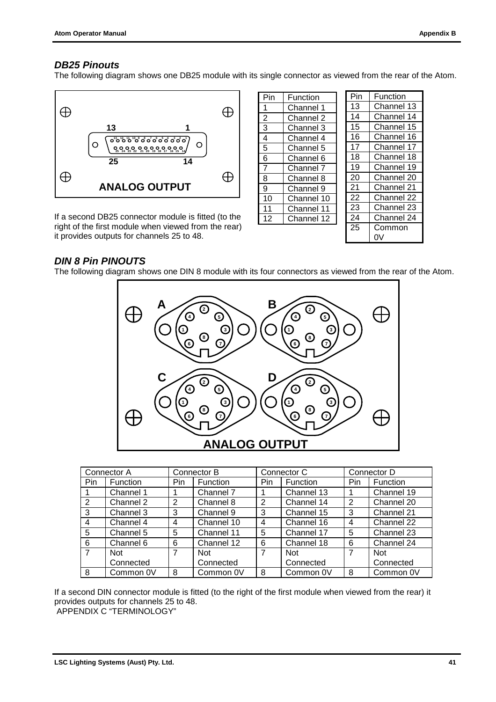#### <span id="page-42-0"></span>*DB25 Pinouts*

The following diagram shows one DB25 module with its single connector as viewed from the rear of the Atom.



If a second DB25 connector module is fitted (to the right of the first module when viewed from the rear) it provides outputs for channels 25 to 48.

| Pin            | Function   | Pin |  |
|----------------|------------|-----|--|
| 1              | Channel 1  | 13  |  |
| $\overline{2}$ | Channel 2  | 14  |  |
| 3              | Channel 3  | 15  |  |
| 4              | Channel 4  | 16  |  |
| 5              | Channel 5  | 17  |  |
| 6              | Channel 6  | 18  |  |
| $\overline{7}$ | Channel 7  | 19  |  |
| 8              | Channel 8  | 20  |  |
| 9              | Channel 9  | 21  |  |
| 10             | Channel 10 | 22  |  |
| 11             | Channel 11 | 23  |  |
| 12             | Channel 12 | 24  |  |
|                |            | 25  |  |
|                |            |     |  |

| Pin | Function   |
|-----|------------|
| 13  | Channel 13 |
| 14  | Channel 14 |
| 15  | Channel 15 |
| 16  | Channel 16 |
| 17  | Channel 17 |
| 18  | Channel 18 |
| 19  | Channel 19 |
| 20  | Channel 20 |
| 21  | Channel 21 |
| 22  | Channel 22 |
| 23  | Channel 23 |
| 24  | Channel 24 |
| 25  | Common     |
|     | 'JV        |

#### *DIN 8 Pin PINOUTS*

The following diagram shows one DIN 8 module with its four connectors as viewed from the rear of the Atom.



|                | Connector A     |                | Connector C<br>Connector B |      |                 |      | Connector D |
|----------------|-----------------|----------------|----------------------------|------|-----------------|------|-------------|
| Pin            | <b>Function</b> | Pin            | <b>Function</b>            | Pin. | <b>Function</b> | Pin. | Function    |
|                | Channel 1       |                | Channel 7                  |      | Channel 13      |      | Channel 19  |
| 2              | Channel 2       | 2              | Channel 8                  | 2    | Channel 14      | 2    | Channel 20  |
| 3              | Channel 3       | 3              | Channel 9                  | 3    | Channel 15      | 3    | Channel 21  |
| $\overline{4}$ | Channel 4       | 4              | Channel 10                 | 4    | Channel 16      | 4    | Channel 22  |
| 5              | Channel 5       | 5              | Channel 11                 | 5    | Channel 17      | 5    | Channel 23  |
| 6              | Channel 6       | 6              | Channel 12                 | 6    | Channel 18      | 6    | Channel 24  |
| $\overline{7}$ | Not             | $\overline{7}$ | Not                        | 7    | Not             | 7    | <b>Not</b>  |
|                | Connected       |                | Connected                  |      | Connected       |      | Connected   |
| 8              | Common 0V       | 8              | Common 0V                  | 8    | Common 0V       | 8    | Common 0V   |

If a second DIN connector module is fitted (to the right of the first module when viewed from the rear) it provides outputs for channels 25 to 48.

APPENDIX C "TERMINOLOGY"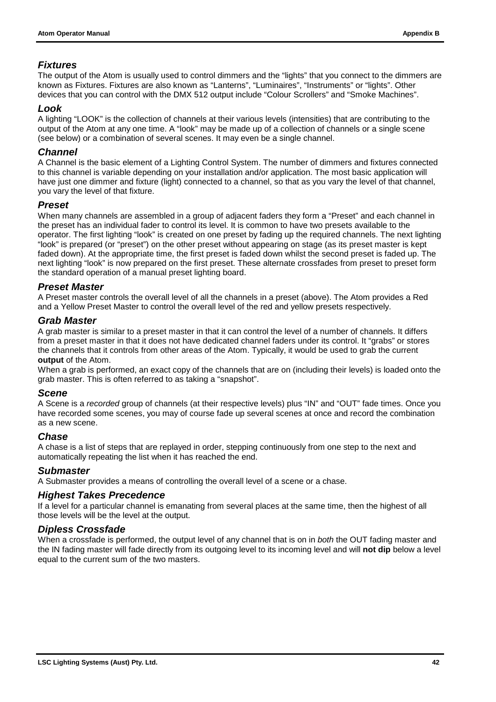#### *Fixtures*

The output of the Atom is usually used to control dimmers and the "lights" that you connect to the dimmers are known as Fixtures. Fixtures are also known as "Lanterns", "Luminaires", "Instruments" or "lights". Other devices that you can control with the DMX 512 output include "Colour Scrollers" and "Smoke Machines".

#### *Look*

A lighting "LOOK" is the collection of channels at their various levels (intensities) that are contributing to the output of the Atom at any one time. A "look" may be made up of a collection of channels or a single scene (see below) or a combination of several scenes. It may even be a single channel.

#### *Channel*

A Channel is the basic element of a Lighting Control System. The number of dimmers and fixtures connected to this channel is variable depending on your installation and/or application. The most basic application will have just one dimmer and fixture (light) connected to a channel, so that as you vary the level of that channel, you vary the level of that fixture.

#### *Preset*

When many channels are assembled in a group of adjacent faders they form a "Preset" and each channel in the preset has an individual fader to control its level. It is common to have two presets available to the operator. The first lighting "look" is created on one preset by fading up the required channels. The next lighting "look" is prepared (or "preset") on the other preset without appearing on stage (as its preset master is kept faded down). At the appropriate time, the first preset is faded down whilst the second preset is faded up. The next lighting "look" is now prepared on the first preset. These alternate crossfades from preset to preset form the standard operation of a manual preset lighting board.

#### *Preset Master*

A Preset master controls the overall level of all the channels in a preset (above). The Atom provides a Red and a Yellow Preset Master to control the overall level of the red and yellow presets respectively.

#### *Grab Master*

A grab master is similar to a preset master in that it can control the level of a number of channels. It differs from a preset master in that it does not have dedicated channel faders under its control. It "grabs" or stores the channels that it controls from other areas of the Atom. Typically, it would be used to grab the current **output** of the Atom.

When a grab is performed, an exact copy of the channels that are on (including their levels) is loaded onto the grab master. This is often referred to as taking a "snapshot".

#### *Scene*

A Scene is a *recorded* group of channels (at their respective levels) plus "IN" and "OUT" fade times. Once you have recorded some scenes, you may of course fade up several scenes at once and record the combination as a new scene.

#### *Chase*

A chase is a list of steps that are replayed in order, stepping continuously from one step to the next and automatically repeating the list when it has reached the end.

#### *Submaster*

A Submaster provides a means of controlling the overall level of a scene or a chase.

#### *Highest Takes Precedence*

If a level for a particular channel is emanating from several places at the same time, then the highest of all those levels will be the level at the output.

#### *Dipless Crossfade*

When a crossfade is performed, the output level of any channel that is on in *both* the OUT fading master and the IN fading master will fade directly from its outgoing level to its incoming level and will **not dip** below a level equal to the current sum of the two masters.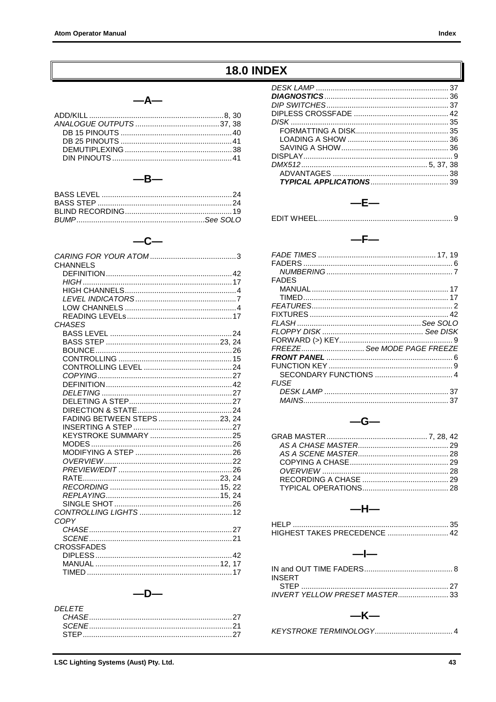### **18.0 INDEX**

#### $-A-$

<span id="page-44-0"></span>

#### $-B-$

#### $-c-$

| CHANNEL S                  |  |
|----------------------------|--|
|                            |  |
|                            |  |
|                            |  |
|                            |  |
|                            |  |
|                            |  |
| <b>CHASES</b>              |  |
|                            |  |
|                            |  |
|                            |  |
|                            |  |
|                            |  |
|                            |  |
|                            |  |
|                            |  |
|                            |  |
|                            |  |
|                            |  |
| FADING BETWEEN STEPS23, 24 |  |
|                            |  |
|                            |  |
|                            |  |
|                            |  |
|                            |  |
|                            |  |
|                            |  |
|                            |  |
|                            |  |
|                            |  |
|                            |  |
| COPY                       |  |
|                            |  |
|                            |  |
|                            |  |
| <b>CROSSFADES</b>          |  |
|                            |  |
|                            |  |
|                            |  |

#### $-D-$

| DEI FTE- |  |
|----------|--|
|          |  |
|          |  |
|          |  |

| $-F-$ |  |
|-------|--|
|       |  |
| $-F-$ |  |

| FADES       |                             |
|-------------|-----------------------------|
|             |                             |
|             |                             |
|             |                             |
|             |                             |
|             |                             |
|             |                             |
|             |                             |
|             | FREEZE See MODE PAGE FREEZE |
|             |                             |
|             |                             |
|             |                             |
| <b>FUSF</b> |                             |
|             |                             |
|             |                             |

#### $-G-$

#### $-H-$

| INSERT |  |
|--------|--|
|        |  |
|        |  |

#### $-K-$